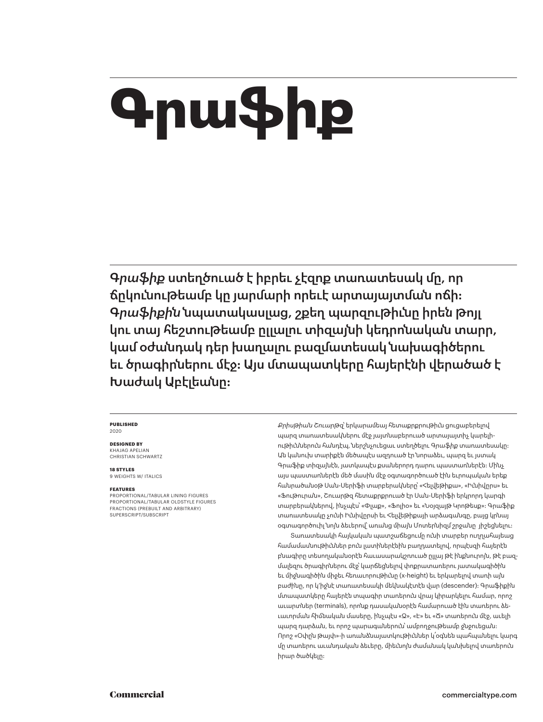# **Գրաֆիք**

*Գրաֆիք* ստեղծուած է իբրեւ չէզոք տառատեսակ մը, որ ճըկունութեամբ կը յարմարի որեւէ արտայայտման ոճի: *Գրաֆիքին* նպատակասլաց, շքեղ պարզութիւնը իրեն թոյլ կու տայ հեշտութեամբ ըլլալու տիզայնի կեդրոնական տարր, կամ օժանդակ դեր խաղալու բազմատեսակ նախագիծերու եւ ծրագիրներու մէջ: Այս մտապատկերը հայերէնի վերածած է Խաժակ Աբէլեանը։

#### **PUBLISHED** 2020

**DESIGNED BY** KHAJAG APELIAN CHRISTIAN SCHWARTZ

**18 STYLES** 9 WEIGHTS W/ ITALICS

#### **FEATURES**

PROPORTIONAL/TABULAR LINING FIGURES PROPORTIONAL/TABULAR OLDSTYLE FIGURES FRACTIONS (PREBUILT AND ARBITRARY) SUPERSCRIPT/SUBSCRIPT

*Քրիսթիան Շուարթզ*՝ երկարամեայ հետաքրքրութիւն ցուցաբերելով պարզ տառատեսակներու մէջ յայտնաբերուած արտայայտիչ կարելիութիւններուն հանդէպ, ներշնչուեցաւ ստեղծելու *Գրաֆիք* տառատեսակը: Ան կանուխ տարիքէն մեծապէս ազդուած էր նորաձեւ, պարզ եւ յստակ Գրաֆիք տիզայնէն, յատկապէս քսաներորդ դարու պաստառներէն: Մինչ այս պաստառներէն մեծ մասին մէջ օգտագործուած էին եւրոպական երեք հանրածանօթ Սան-Սերիֆի տարբերակները՝ «Հելվեթիքա», «Իւնիվըրս» եւ «Ֆութուրան», Շուարթզ հետաքրքրուած էր Սան-Սերիֆի երկրորդ կարգի տարբերակներով, ինչպէս՝ «Փլաք», «Ֆոլիօ» եւ «Նօյզայթ Կրոթեսք»: Գրաֆիք տառատեսակը չունի Իւնիվըրսի եւ Հելվեթիքայի արձագանգը, բայց կրնայ օգտագործուիլ նոյն ձեւերով՝ առանց միայն Մոտերնիզմ շրջանը յիշեցնելու:

Տառատեսակի հայկական պատշաճեցումը ունի տարբեր ուղղահայեաց համամասնութիւններ բուն լատիներէնին բաղդատելով, որպէսզի հայերէն բնագիրը տեսողականօրէն հաւասարակշռուած ըլլայ թէ ինքնուրոյն, թէ բազ-մալեզու ծրագիրներու մէջ՝ կարճեցնելով փոքրատառերու յատակագիծին եւ միջնագիծին միջեւ հեռաւորութիւնը (x-height) եւ երկարելով տառի այն բաժինը, որ կ'իջնէ տառատեսակի մեկնակէտէն վար (descender): Գրաֆիքին մտապատկերը հայերէն տպագիր տառերուն վրայ կիրարկելու համար, որոշ աւարտներ (terminals), որոնք դասականօրէն համարուած էին տառերու ձեւաւորման հիմնական մասերը, ինչպէս «Զ», «Է» եւ «Ճ» տառերուն մէջ, աւելի պարզ դարձան, եւ որոշ պարագաներուն՝ ամբողջութեամբ ջնջուեցան: Որոշ «Oփըն թայփ»-ի առանձնայատկութիւններ կ՛օգնեն պահպանելու կարգ մը տառերու աւանդական ձեւերը, միեւնոյն ժամանակ կանխելով տառերուն իրար ծածկելը: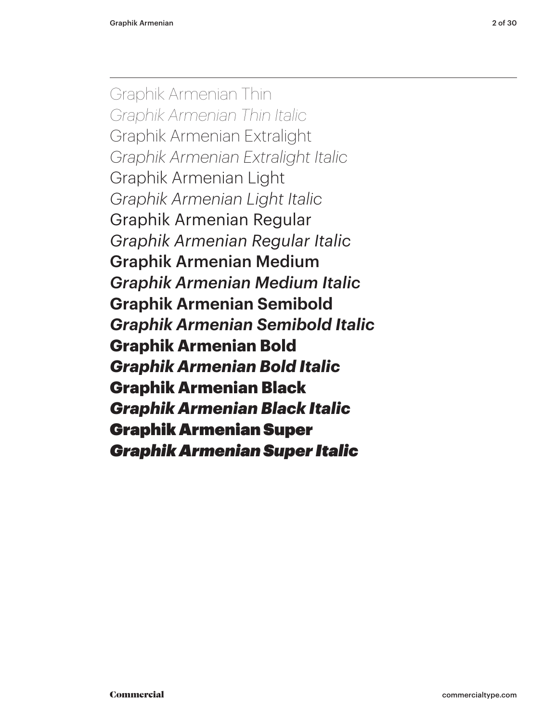Graphik Armenian Thin *Graphik Armenian Thin Italic* Graphik Armenian Extralight *Graphik Armenian Extralight Italic* Graphik Armenian Light *Graphik Armenian Light Italic* Graphik Armenian Regular *Graphik Armenian Regular Italic* Graphik Armenian Medium *Graphik Armenian Medium Italic* **Graphik Armenian Semibold** *Graphik Armenian Semibold Italic* **Graphik Armenian Bold** *Graphik Armenian Bold Italic* Graphik Armenian Black *Graphik Armenian Black Italic* Graphik Armenian Super *Graphik Armenian Super Italic*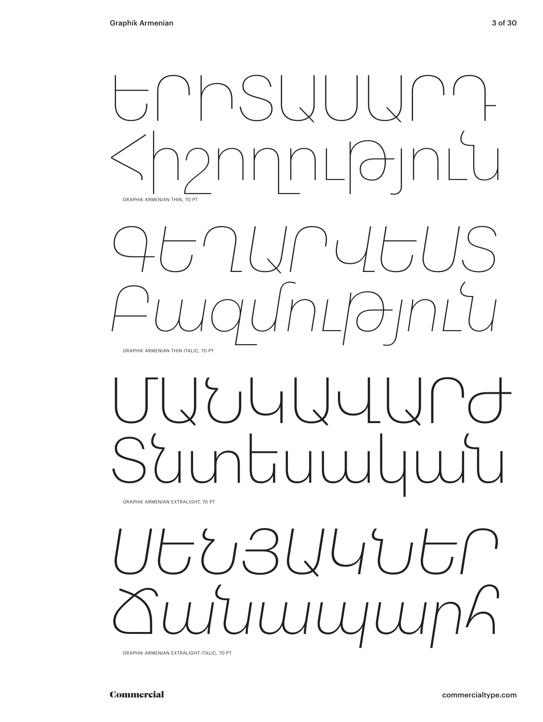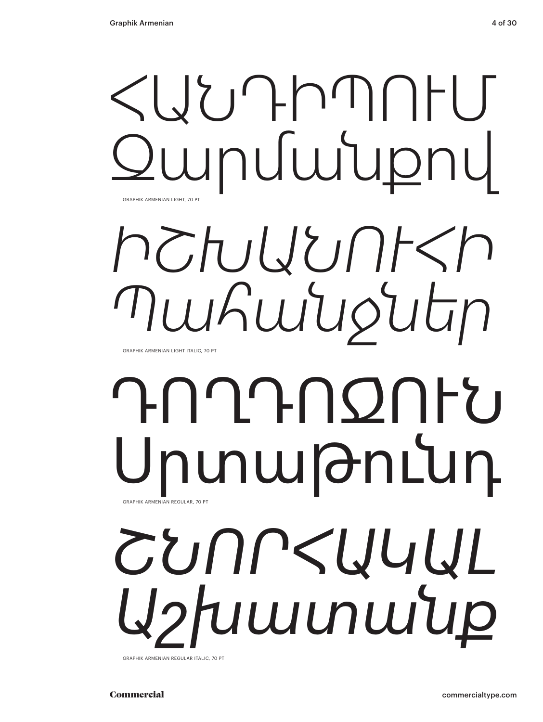# ՀԱՆԴԻՊՈՒՄ Զարմանքով GRAPHIK ARMENIAN LIGHT, 70 P

# *ԻՇԽԱՆՈՒՀԻ Պահանջներ*

GRAPHIK ARMENIAN LIGHT ITALIC, 70 PT

# ԴՈՂԴՈΩՈԻՆ **յտաթունդ** GRAPHIK ARMENIAN REGULAR, 70 PT

# *ՇՆՈՐՀԱԿԱԼ Աշխատանք*

GRAPHIK ARMENIAN REGULAR ITALIC, 70 PT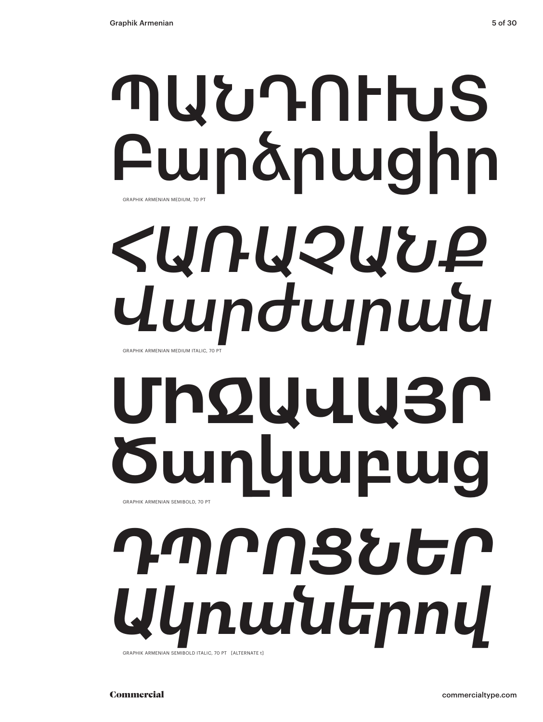# ՊԱՆԴՈՒԽՏ Բարձրացիր *ՀԱՌԱՉԱՆՔ* GRAPHIK ARMENIAN MEDIUM, 70 P

*Վարժարան* GRAPHIK ARMENIAN MEDIUM ITALIC, 70 PT

# **ՄԻՋԱՎԱՅՐ Ծաղկաբաց** GRAPHIK ARMENIAN SEMIBOLD, 70 PT

*ԴՊՐՈՑՆԵՐ Ակռաներով* GRAPHIK ARMENIAN SEMIBOLD ITALIC, 70 PT [ALTERNATE t]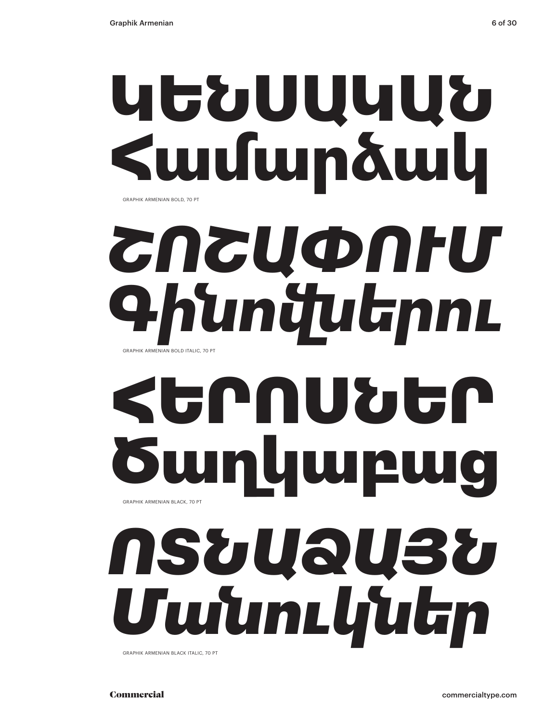## **ԿԵՆՍԱԿԱՆ Համարձակ** GRAPHIK ARMENIAN BOLD, 70 PT

## *ՇՈՇԱՓՈՒՄ Գինովներու* GRAPHIK ARMENIAN BOLD ITALIC, 70 PT

# ՀԵՐՈՍՆԵՐ luu GRAPHIK ARMENIAN BLACK, 70 PT

## *ՈՏՆԱՁԱՅՆ Մանուկներ* GRAPHIK ARMENIAN BLACK ITALIC, 70 PT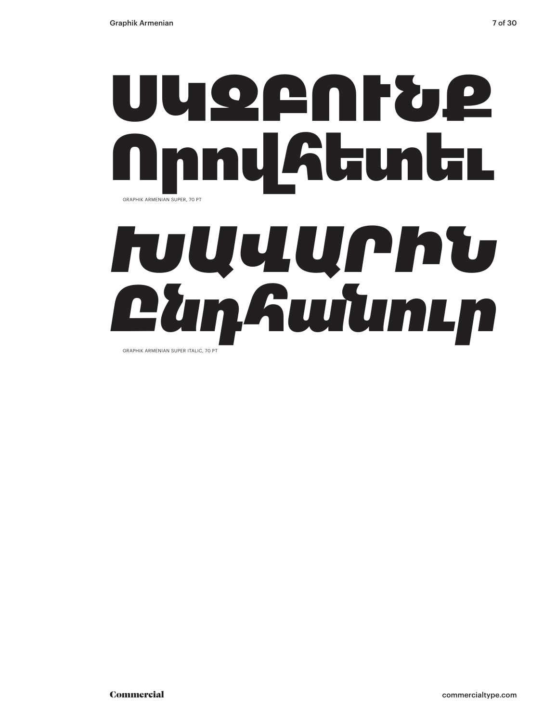# ՍԿԶԲՈՒՆՔ ովհետեւ GRAPHIK ARMENIAN SUPER, 70 PT

# *ԽԱՎԱՐԻՆ Ընդհանուր*

GRAPHIK ARMENIAN SUPER ITALIC, 70 PT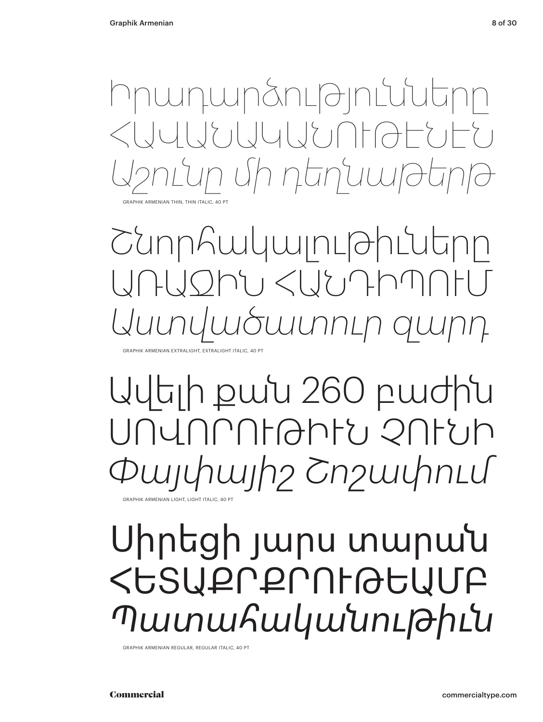Իրադարձությունները  $\mathcal{L} \cup \mathcal{L} \cup \mathcal{L} \cup \mathcal{L} \cup \mathcal{L} \cup \mathcal{L} \cup \mathcal{L} \cup \mathcal{L} \cup \mathcal{L} \cup \mathcal{L} \cup \mathcal{L} \cup \mathcal{L} \cup \mathcal{L} \cup \mathcal{L} \cup \mathcal{L} \cup \mathcal{L} \cup \mathcal{L} \cup \mathcal{L} \cup \mathcal{L} \cup \mathcal{L} \cup \mathcal{L} \cup \mathcal{L} \cup \mathcal{L} \cup \mathcal{L} \cup \mathcal{L} \cup \mathcal{L} \cup \mathcal{L} \cup \mathcal$ *Աշունը մի դեղնաթերթ* GRAPHIK ARMENIAN THIN, THIN ITALIC, 40

Շնորհակալութիւները  $\bigcap\bigcap\{x,y\} \subset \bigcup\{y\}$ *Աստվածատուր զարդ* GRAPHIK ARMENIAN EXTRALIGHT, EXTRALIGHT ITALIC, 40 PT

## Ավելի քան 260 բաժին ՍՈՎՈՐՈՒԹԻՒՆ ՉՈՒՆԻ *Փայփայիշ Շոշափում* GRAPHIK ARMENIAN LIGHT, LIGHT ITALIC, 40 P

Սիրեցի յարս տարան ՀԵՏԱՔՐՔՐՈՒԹԵԱՄԲ *Պատահականութիւն*

GRAPHIK ARMENIAN REGULAR, REGULAR ITALIC, 40 PT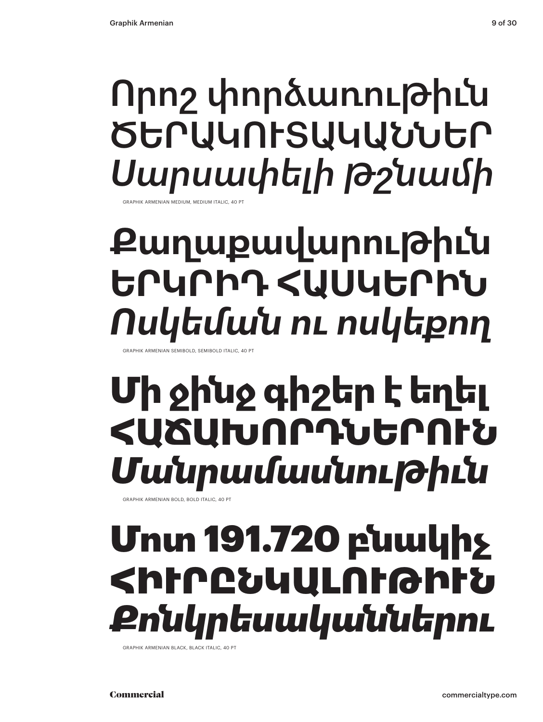## **HK ARMENIAN MEDIUM, MEDIUM ITAL** Որոշ փորձառութիւն ԾԵՐԱԿՈՒՏԱԿԱՆՆԵՐ *Սարսափելի թշնամի*

## **Քաղաքավարութիւն ԵՐԿՐԻԴ ՀԱՍԿԵՐԻՆ** *Ոսկեման ու ոսկեքող*

RAPHIK ARMENIAN SEMIBOLD, SEMIBOLD ITALIC, 40

## **Մի ջինջ գիշեր է եղել ՀԱՃԱԽՈՐԴՆԵՐՈՒՆ** *Մանրամասնութիւն*

GRAPHIK ARMENIAN BOLD, BOLD ITALIC, 40 PT

## Մոտ 191.720 բնակիչ ՀԻՒՐԸՆԿԱԼՈՒԹԻՒՆ *Քոնկրեսականներու*

GRAPHIK ARMENIAN BLACK, BLACK ITALIC, 40 PT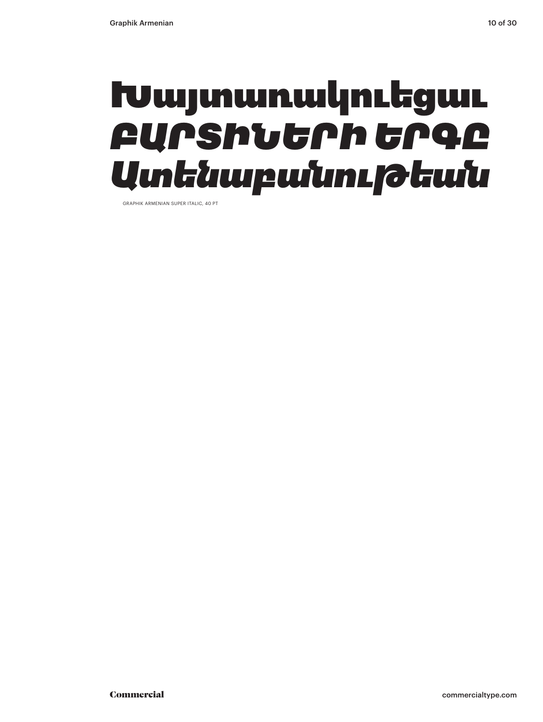## Խայտառակուեցաւ *ԲԱՐՏԻՆԵՐԻ ԵՐԳԸ Ատենաբանութեան*

GRAPHIK ARMENIAN SUPER ITALIC, 40 PT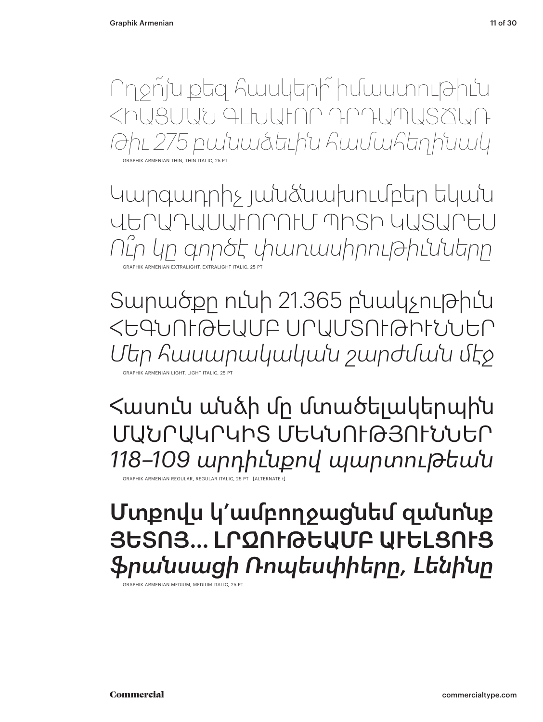Ողջո՜յն քեզ հասկերի՜ իմաստութիւն ՀԻԱՑՄԱՆ ԳԼԽԱՒՈՐ ԴՐԴԱՊԱՏՃԱՌ *Թիւ 275 բանաձեւին համահեղինակ*

GRAPHIK ARMENIAN THIN, THIN ITALIC, 25 PT

Կարգադրիչ յանձնախումբեր եկան ՎԵՐԱԴԱՍԱՒՈՐՈՒՄ ՊԻՏԻ ԿԱՏԱՐԵՍ *Ու՞ր կը գործէ փառասիրութիւնները* GRAPHIK ARMENIAN EXTRALIGHT, EXTRALIGHT ITALIC, 25 PT

Տարածքը ունի 21.365 բնակչութիւն ՀԵԳՆՈՒԹԵԱՄԲ ՍՐԱՄՏՈՒԹԻՒՆՆԵՐ *Մեր հասարակական շարժման մէջ* GRAPHIK ARMENIAN LIGHT, LIGHT ITALIC, 25 PT

Հասուն անձի մը մտածելակերպին ՄԱՆՐԱԿՐԿԻՏ ՄԵԿՆՈՒԹՅՈՒՆՆԵՐ *118–109 արդիւնքով պարտութեան*

GRAPHIK ARMENIAN REGULAR, REGULAR ITALIC, 25 PT [ALTERNATE t]

Մտքովս կ՚ամբողջացնեմ զանոնք ՅԵՏՈՅ... ԼՐΩՈԻԹԵԱՄԲ ԱԻԵԼՑՈԻՑ *ֆրանսացի Ռոպեսփիերը, Լենինը*

GRAPHIK ARMENIAN MEDIUM, MEDIUM ITALIC, 25 PT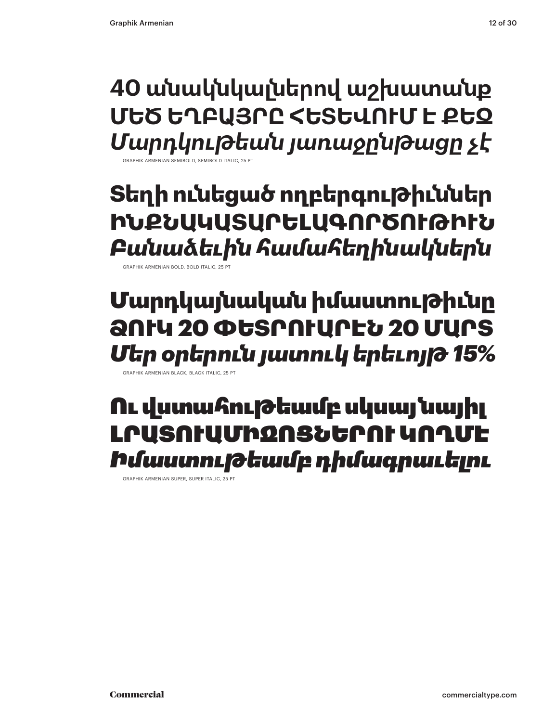**40 անակնկալներով աշխատանք ՄԵԾ ԵՂԲԱՅՐԸ ՀԵՏԵՎՈՒՄ Է ՔԵԶ** *Մարդկութեան յառաջընթացը չէ*

GRAPHIK ARMENIAN SEMIBOLD, SEMIBOLD ITALIC, 25 PT

**Տեղի ունեցած ողբերգութիւններ ԻՆՔՆԱԿԱՏԱՐԵԼԱԳՈՐԾՈՒԹԻՒՆ** *Բանաձեւին համահեղինակներն*

GRAPHIK ARMENIAN BOLD, BOLD ITALIC, 25 PT

## Մարդկայնական իմաստութիւնը ՁՈՒԿ 20 ՓԵՏՐՈՒԱՐԷՆ 20 ՄԱՐՏ *Մեր օրերուն յատուկ երեւոյթ 15%*

GRAPHIK ARMENIAN BLACK, BLACK ITALIC, 25 PT

## Ու վստահութեամբ սկսայ նայիլ ԼՐԱՏՈՒԱՄԻՋՈՑՆԵՐՈՒ ԿՈՂՄԷ *Իմաստութեամբ դիմագրաւելու*

GRAPHIK ARMENIAN SUPER, SUPER ITALIC, 25 PT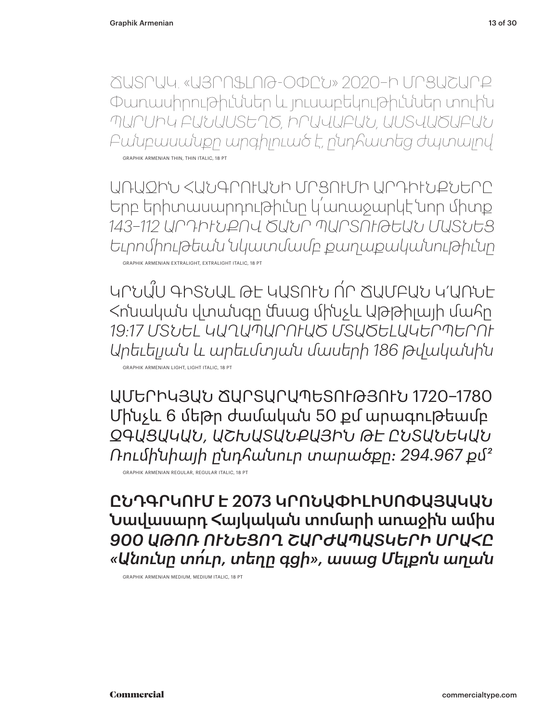ՃԱՏՐԱԿ. «ԱՅՐՈՖԼՈԹ-ՕՓԸՆ» 2020–Ի ՄՐՑԱՇԱՐՔ Փառասիրութիւններ եւ յուսաբեկութիւններ տուին *ՊԱՐՍԻԿ ԲԱՆԱՍՏԵՂԾ, ԻՐԱՎԱԲԱՆ, ԱՍՏՎԱԾԱԲԱՆ Բանբասանքը արգիլուած է, ընդհատեց ժպտալով* GRAPHIK ARMENIAN THIN, THIN ITALIC, 18 PT

ԱՌԱՋԻՆ ՀԱՆԳՐՈՒԱՆԻ ՄՐՑՈՒՄԻ ԱՐԴԻՒՆՔՆԵՐԸ Երբ երիտասարդութիւնը կ՛առաջարկէ նոր միտք *143–112 ԱՐԴԻՒՆՔՈՎ ԾԱՆՐ ՊԱՐՏՈՒԹԵԱՆ ՄԱՏՆԵՑ Եւրոմիութեան նկատմամբ քաղաքականութիւնը* GRAPHIK ARMENIAN EXTRALIGHT, EXTRALIGHT ITALIC, 18 PT

ԿՐՆԱ՞Ս ԳԻՏՆԱԼ ԹԷ ԿԱՏՈՒՆ Ո՛Ր ՃԱՄԲԱՆ Կ'ԱՌՆԷ Հոնական վտանգը մնաց մինչեւ Աթթիլայի մահը *19:17 ՄՏՆԵԼ ԿԱՂԱՊԱՐՈՒԱԾ ՄՏԱԾԵԼԱԿԵՐՊԵՐՈՒ Արեւելյան և արեւմտյան մասերի 186 թվականին*

GRAPHIK ARMENIAN LIGHT, LIGHT ITALIC, 18 PT

ԱՄԵՐԻԿՅԱՆ ՃԱՐՏԱՐԱՊԵՏՈՒԹՅՈՒՆ 1720–1780 Մինչեւ 6 մեթր ժամական 50 քմ արագութեամբ *ԶԳԱՑԱԿԱՆ, ԱՇԽԱՏԱՆՔԱՅԻՆ ԹԷ ԸՆՏԱՆԵԿԱՆ Ռումինիայի ընդհանուր տարածքը: 294.967 ք 2* GRAPHIK ARMENIAN REGULAR, REGULAR ITALIC, 18 PT

ԸՆԴԳՐԿՈՒՄ Է 2073 ԿՐՈՆԱՓԻԼԻՍՈՓԱՅԱԿԱՆ Նավասարդ Հայկական տոմարի առաջին ամիս *900 ԱԹՈՌ ՈՒՆԵՑՈՂ ՇԱՐԺԱՊԱՏԿԵՐԻ ՍՐԱՀԸ «Անունը տո՛ւր, տեղը գցի», ասաց Մելքոն աղան*

GRAPHIK ARMENIAN MEDIUM, MEDIUM ITALIC, 18 PT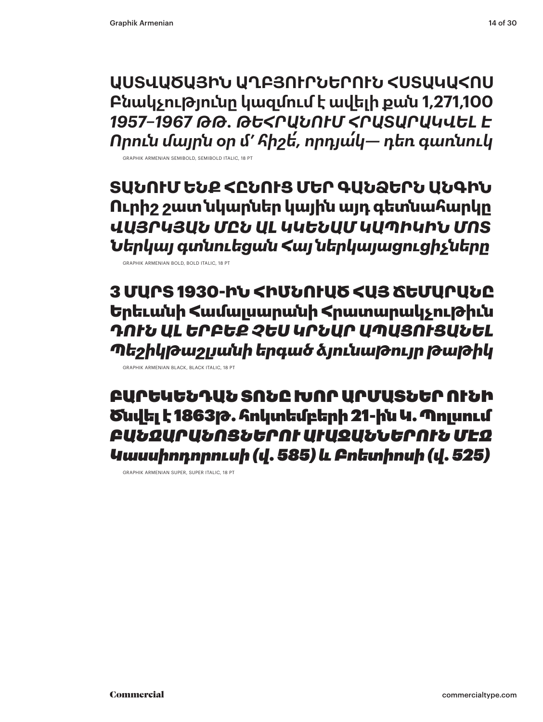**ԱՍՏՎԱԾԱՅԻՆ ԱՂԲՅՈՒՐՆԵՐՈՒՆ ՀՍՏԱԿԱՀՈՍ Բնակչությունը կազմում է ավելի քան 1,271,100** *1957–1967 ԹԹ. ԹԵՀՐԱՆՈՒՄ ՀՐԱՏԱՐԱԿՎԵԼ Է Որուն մայրն օր �' հիշե՛, որդյա՛կ— դեռ գառնուկ*

GRAPHIK ARMENIAN SEMIBOLD, SEMIBOLD ITALIC, 18 PT

**ՏԱՆՈՒՄ ԵՆՔ ՀԸՆՈՒՑ ՄԵՐ ԳԱՆՁԵՐՆ ԱՆԳԻՆ Ուրիշ շատ նկարներ կային այդ գետնահարկը** *ՎԱՅՐԿՅԱՆ ՄԸՆ ԱԼ ԿԿԵՆԱՄ ԿԱՊԻԿԻՆ ՄՈՏ Ներկայ գտնուեցան Հայ ներկայացուցիչները*

GRAPHIK ARMENIAN BOLD, BOLD ITALIC, 18 PT

3 ՄԱՐՏ 1930-ԻՆ ՀԻՄՆՈՒԱԾ ՀԱՅ ՃԵՄԱՐԱՆԸ Երեւանի Համալսարանի Հրատարակչութիւն *ԴՈՒՆ ԱԼ ԵՐԲԵՔ ՉԵՍ ԿՐՆԱՐ ԱՊԱՑՈՒՑԱՆԵԼ Պեշիկթաշլյանի երգած ձյունաթույր թաթիկ*

ԲԱՐԵԿԵՆԴԱՆ ՏՈՆԸ ԽՈՐ ԱՐՄԱՏՆԵՐ ՈՒՆԻ Ծնվել է 1863թ. հոկտեմբերի 21-ին Կ. Պոլսում *ԲԱՆՋԱՐԱՆՈՑՆԵՐՈՒ ԱՒԱԶԱՆՆԵՐՈՒՆ ՄԷՋ Կասսիոդորուսի (վ. 585) և Բոետիոսի (վ. 525)*

GRAPHIK ARMENIAN SUPER, SUPER ITALIC, 18 PT

GRAPHIK ARMENIAN BLACK, BLACK ITALIC, 18 PT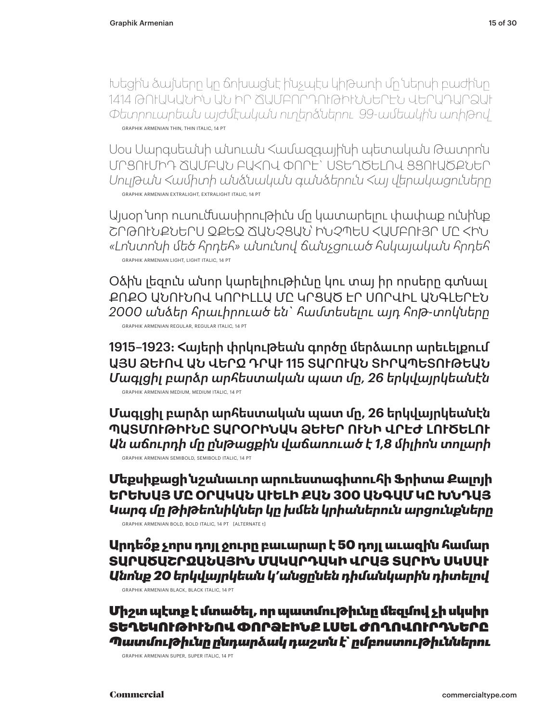Խեցին ձայները կը ճոխացնէ ինչպէս կիթառի մը ներսի բաժինը 1414 ԹՈՒԱԿԱՆԻՆ ԱՆ ԻՐ ՃԱՄԲՈՐԴՈՒԹԻՒՆՆԵՐԷՆ ՎԵՐԱԴԱՐՁԱՒ *Փետրուարեան այժմէական ուղերձներու 99-ամեակին առիթով* GRAPHIK ARMENIAN THIN, THIN ITALIC, 14 PT

Սօս Սարգսեանի անուան Համազգայինի պետական Թատրոն ՄՐՑՈՒՄԻԴ ՃԱՄԲԱՆ ԲԱՀՈՎ ՓՈՐԷ` ՍՏԵՂԾԵԼՈՎ ՑՑՈՒԱԾՔՆԵՐ *Սուլթան Համիտի անձնական գանձերուն Հայ վերակացուները* GRAPHIK ARMENIAN EXTRALIGHT, EXTRALIGHT ITALIC, 14 PT

Այսօր նոր ուսումնասիրութիւն մը կատարելու փափաք ունինք ՇՐԹՈՒՆՔՆԵՐՍ ԶՔԵԶ ՃԱՆՉՑԱՆ՝ ԻՆՉՊԵՍ ՀԱՄԲՈՒՅՐ ՄԸ ՀԻՆ *«Լոնտոնի մեծ հրդեհ» անունով ճանչցուած հսկայական հրդեհ* GRAPHIK ARMENIAN LIGHT, LIGHT ITALIC, 14 PT

Օձին լեզուն անոր կարելիութիւնը կու տայ իր որսերը գտնալ ՔՈՔՕ ԱՆՈՒՆՈՎ ԿՈՐԻԼԼԱ ՄԸ ԿՐՑԱԾ ԷՐ ՍՈՐՎԻԼ ԱՆԳԼԵՐԷՆ *2000 անձեր հրաւիրուած են` համտեսելու այդ հոթ-տոկները* GRAPHIK ARMENIAN REGULAR, REGULAR ITALIC, 14 PT

1915–1923: Հայերի փրկութեան գործը մերձաւոր արեւելքում ԱՅՍ ՁԵՒՈՎ ԱՆ ՎԵՐՋ ԴՐԱԻ 115 ՏԱՐՈՒԱՆ ՏԻՐԱՊԵՏՈՒԹԵԱՆ *Մագլցիլ բարձր արհեստական պատ մը, 26 երկվայրկեանէն* GRAPHIK ARMENIAN MEDIUM, MEDIUM ITALIC, 14 PT

**Մագլցիլ բարձր արհեստական պատ մը, 26 երկվայրկեանէն ՊԱՏՄՈՒԹԻՒՆԸ ՏԱՐՕՐԻՆԱԿ ՁԵՒԵՐ ՈՒՆԻ ՎՐԷԺ ԼՈՒԾԵԼՈՒ** *Ան աճուրդի մը ընթացքին վաճառուած է 1,8 միլիոն տոլարի* GRAPHIK ARMENIAN SEMIBOLD, SEMIBOLD ITALIC, 14 PT

**Մեքսիքացի նշանաւոր արուեստագիտուհի Ֆրիտա Քալոյի ԵՐԵԽԱՅ ՄԸ ՕՐԱԿԱՆ ԱՒԵԼԻ ՔԱՆ 300 ԱՆԳԱՄ ԿԸ ԽՆԴԱՅ** *Կարգ մը թիթեռնիկներ կը խմեն կրիաներուն արցունքները* GRAPHIK ARMENIAN BOLD, BOLD ITALIC, 14 PT [ALTERNATE t]

Արդեօ՞ք չորս դոյլ ջուրը բաւարար է 50 դոյլ աւազին համար ՏԱՐԱԾԱՇՐՋԱՆԱՅԻՆ ՄԱԿԱՐԴԱԿԻ ՎՐԱՅ ՏԱՐԻՆ ՍԿՍԱԻ *Անոնք 20 երկվայրկեան կ'անցընեն դիմանկարին դիտելով* 

GRAPHIK ARMENIAN BLACK, BLACK ITALIC, 14 PT

Միշտ պէտք է մտածել, որ պատմութիւնը մեզմով չի սկսիր ՏԵՂԵԿՈՒԹԻՒՆՈՎ ՓՈՐՁԷԻՆՔ ԼՍԵԼ ԺՈՂՈՎՈՒՐԴՆԵՐԸ *Պատմութիւնը ընդարձակ դաշտն է` ըմբոստութիւններու*

GRAPHIK ARMENIAN SUPER, SUPER ITALIC, 14 PT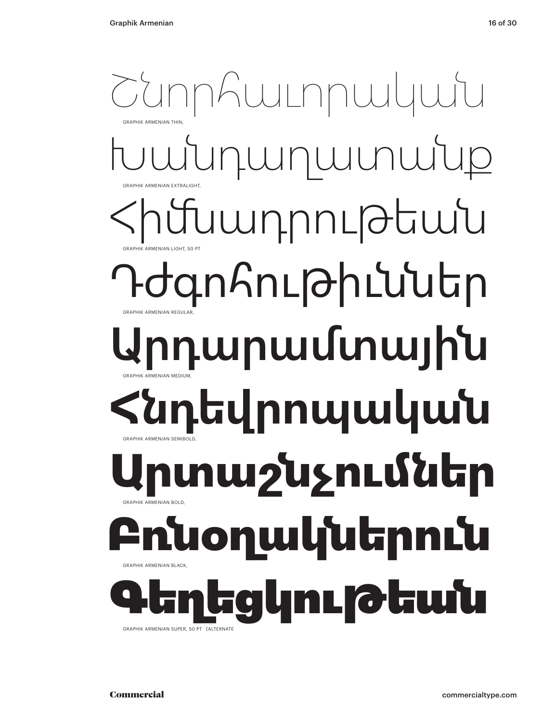## Խանդաղատանք ադրութեան գոհութիւններ րդարամտային **Հնդեվրոպական** Շնորհաւորական GRAPHIK ARMENIAN THIN, GRAPHIK ARMENIAN EXTRALIGHT, GRAPHIK ARMENIAN LIGHT, 50 PT GRAPHIK ARMENIAN REGUI AR GRAPHIK ARMENIAN MEDIUM, GRAPHIK ARMENIAN SEMIBOLD, **Արտաշնչումներ** GRAPHIK ARMENIAN BOLD, <u>սօղակներուն</u> GRAPHIK ARMENIAN BLACK, Գեղեցկութեան GRAPHIK ARMENIAN SUPER, 50 PT [ALTERNAT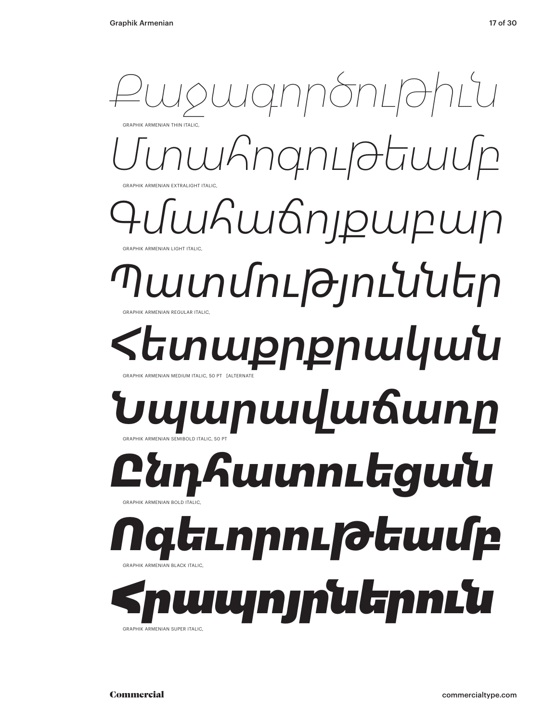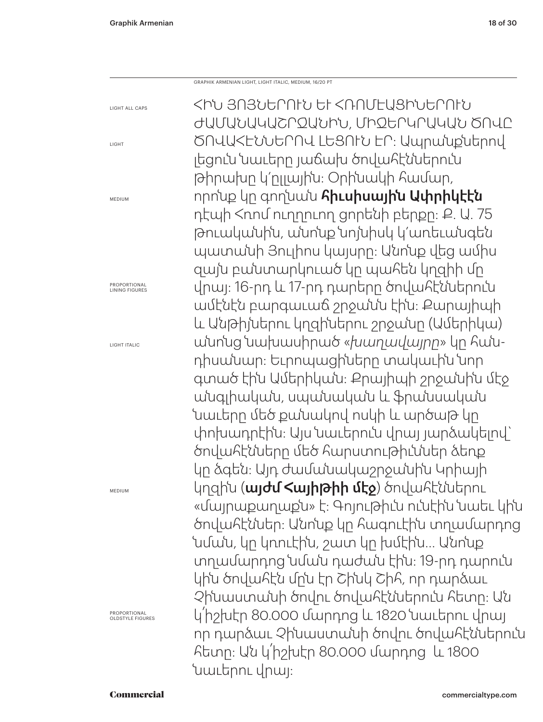GRAPHIK ARMENIAN LIGHT, LIGHT ITALIC, MEDIUM, 16/20 PT

LIGHT ALL CAPS LIGHT MEDIUM PROPORTIONAL LINING FIGURES LIGHT ITALIC MEDIUM PROPORTIONAL OLDSTYLE FIGURES ՀԻՆ ՅՈՅՆԵՐՈՒՆ ԵՒ ՀՌՈՄԷԱՑԻՆԵՐՈՒՆ ԺԱՄԱՆԱԿԱՇՐՋԱՆԻՆ, ՄԻՋԵՐԿՐԱԿԱՆ ԾՈՎԸ ԾՈՎԱՀԷՆՆԵՐՈՎ ԼԵՑՈՒՆ ԷՐ: Ապրանքներով լեցուն նաւերը յաճախ ծովահէններուն թիրախը կ՚ըլլային: Օրինակի համար, որոնք կը գողնան հիւսիսային Ափրիկէէն դէպի Հռոմ ուղղուող ցորենի բերքը: Ք. Ա. 75 թուականին, անոնք նոյնիսկ կ՚առեւանգեն պատանի Յուլիոս կայսրը: Անոնք վեց ամիս զայն բանտարկուած կը պահեն կղզիի մը վրայ։ 16-րդ և 17-րդ դարերը ծովահէններուն ամէնէն բարգաւաճ շրջանն էին: Քարայիպի եւ Անթիյներու կղզիներու շրջանը (Ամերիկա) անոնց նախասիրած «*խաղավայրը*» կը հանդիսանար: Եւրոպացիները տակաւին նոր գտած էին Ամերիկան: Քրայիպի շրջանին մէջ անգլիական, սպանական եւ ֆրանսական նաւերը մեծ քանակով ոսկի և արծաթ կը փոխադրէին: Այս նաւերուն վրայ յարձակելով` ծովահէնները մեծ հարստութիւններ ձեռք կը ձգեն: Այդ ժամանակաշրջանին Կրիայի կղզին (**այժմ հայիթիի մէջ**) ծովահէններու «մայրաքաղաքն» է: Գոյութիւն ունէին նաեւ կին ծովահէններ: Անոնք կը հագուէին տղամարդոց նման, կը կռուէին, շատ կը խմէին… Անոնք տղամարդոց նման դաժան էին: 19-րդ դարուն կին ծովահէն մրն էր Շինկ Շիհ, որ դարձաւ Չինաստանի ծովու ծովահէններուն հետը: Ան կ՛իշխէր 80.000 մարդոց և 1820 նաւերու վրայ որ դարձաւ Չինաստանի ծովու ծովահէններուն հետը: Ան կ՛իշխէր 80.000 մարդոց եւ 1800 նաւերու վրայ: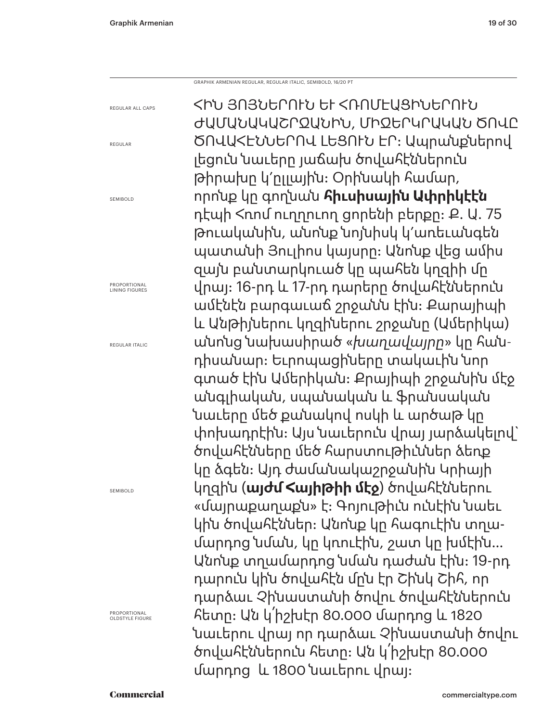GRAPHIK ARMENIAN REGULAR, REGULAR ITALIC, SEMIBOLD, 16/20 PT

REGULAR ALL CAPS

REGULAR

SEMIBOLD

PROPORTIONAL LINING FIGURES

REGULAR ITALIC

SEMIBOLD

PROPORTIONAL OLDSTYLE FIGURE

ՀԻՆ ՅՈՅՆԵՐՈՒՆ ԵՒ ՀՌՈՄԷԱՑԻՆԵՐՈՒՆ ԺԱՄԱՆԱԿԱՇՐՋԱՆԻՆ, ՄԻՋԵՐԿՐԱԿԱՆ ԾՈՎԸ ԾՈՎԱՀԷՆՆԵՐՈՎ ԼԵՑՈՒՆ ԷՐ: Ապրանքներով լեցուն նաւերը յաճախ ծովահէններուն թիրախը կ՚ըլլային: Օրինակի համար, որոնք կը գողնան **հիւսիսային Ափրիկէէն** դէպի Հռոմ ուղղուող ցորենի բերքը: Ք. Ա. 75 թուականին, անոնք նոյնիսկ կ՚առեւանգեն պատանի Յուլիոս կայսրը: Անոնք վեց ամիս զայն բանտարկուած կը պահեն կղզիի մը վրայ։ 16-րդ և 17-րդ դարերը ծովահէններուն ամէնէն բարգաւաճ շրջանն էին: Քարայիպի եւ Անթիյներու կղզիներու շրջանը (Ամերիկա) անոնց նախասիրած «*խաղավայրը*» կը հանդիսանար: Եւրոպացիները տակաւին նոր գտած էին Ամերիկան: Քրայիպի շրջանին մէջ անգլիական, սպանական եւ ֆրանսական նաւերը մեծ քանակով ոսկի և արծաթ կը փոխադրէին: Այս նաւերուն վրայ յարձակելով` ծովահէնները մեծ հարստութիւններ ձեռք կը ձգեն: Այդ ժամանակաշրջանին Կրիայի կղզին (**այժմ Հայիթիի մէջ**) ծովահէններու «մայրաքաղաքն» է: Գոյութիւն ունէին նաեւ կին ծովահէններ: Անոնք կը հագուէին տղամարդոց նման, կը կռուէին, շատ կը խմէին… Անոնք տղամարդոց նման դաժան էին: 19-րդ դարուն կին ծովահէն մըն էր Շինկ Շիհ, որ դարձաւ Չինաստանի ծովու ծովահէններուն հետը: Ան կ՛իշխէր 80.000 մարդոց եւ 1820 նաւերու վրայ որ դարձաւ Չինաստանի ծովու ծովահէններուն հետը: Ան կ՛իշխէր 80.000 մարդոց եւ 1800 նաւերու վրայ: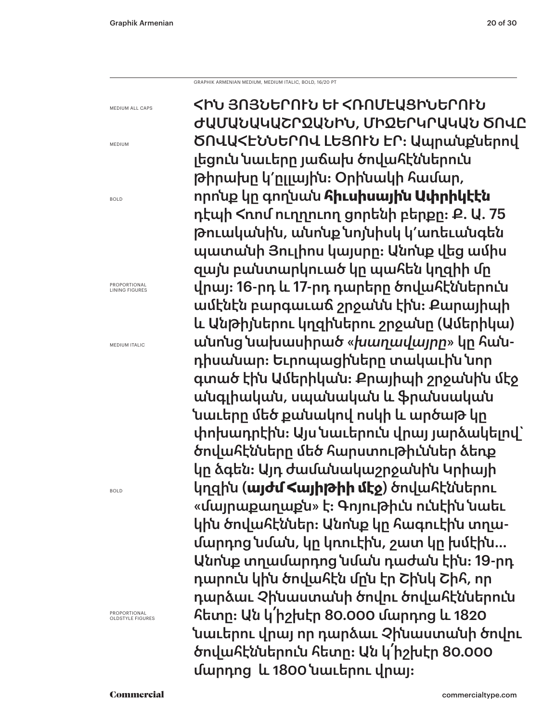GRAPHIK ARMENIAN MEDIUM, MEDIUM ITALIC, BOLD, 16/20 PT

MEDIUM ALL CAPS

MEDIUM

BOLD

PROPORTIONAL LINING FIGURES

MEDIUM ITALIC

BOLD

PROPORTIONAL OLDSTYLE FIGURES

ՀԻՆ ՅՈՅՆԵՐՈՒՆ ԵՒ ՀՌՈՄԷԱՑԻՆԵՐՈՒՆ ԺԱՄԱՆԱԿԱՇՐՋԱՆԻՆ, ՄԻՋԵՐԿՐԱԿԱՆ ԾՈՎԸ ԾՈՎԱՀԷՆՆԵՐՈՎ ԼԵՑՈՒՆ ԷՐ: Ապրանքներով լեցուն նաւերը յաճախ ծովահէններուն թիրախը կ՚ըլլային: Օրինակի համար, որոնք կը գողնան **հիւսիսային Ափրիկէէն** դէպի Հռոմ ուղղուող ցորենի բերքը: Ք. Ա. 75 թուականին, անոնք նոյնիսկ կ՚առեւանգեն պատանի Յուլիոս կայսրը: Անոնք վեց ամիս զայն բանտարկուած կը պահեն կղզիի մը վրայ։ 16-րդ և 17-րդ դարերը ծովահէններուն ամէնէն բարգաւաճ շրջանն էին: Քարայիպի և Անթիյներու կղզիներու շրջանը (Ամերիկա) անոնց նախասիրած «*խաղավայրը*» կը հանդիսանար: Եւրոպացիները տակաւին նոր գտած էին Ամերիկան: Քրայիպի շրջանին մէջ անգլիական, սպանական եւ ֆրանսական նաւերը մեծ քանակով ոսկի և արծաթ կը փոխադրէին: Այս նաւերուն վրայ յարձակելով` ծովահէնները մեծ հարստութիւններ ձեռք կը ձգեն: Այդ ժամանակաշրջանին Կրիայի կղզին (**այժմ Հայիթիի մէջ**) ծովահէններու «մայրաքաղաքն» է: Գոյութիւն ունէին նաեւ կին ծովահէններ: Անոնք կը հագուէին տղամարդոց նման, կը կռուէին, շատ կը խմէին… Անոնք տղամարդոց նման դաժան էին: 19-րդ դարուն կին ծովահէն մըն էր Շինկ Շիհ, որ դարձաւ Չինաստանի ծովու ծովահէններուն հետը: Ան կ՛իշխէր 80.000 մարդոց եւ 1820 նաւերու վրայ որ դարձաւ Չինաստանի ծովու ծովահէններուն հետը: Ան կ՛իշխէր 80.000 մարդոց եւ 1800 նաւերու վրայ: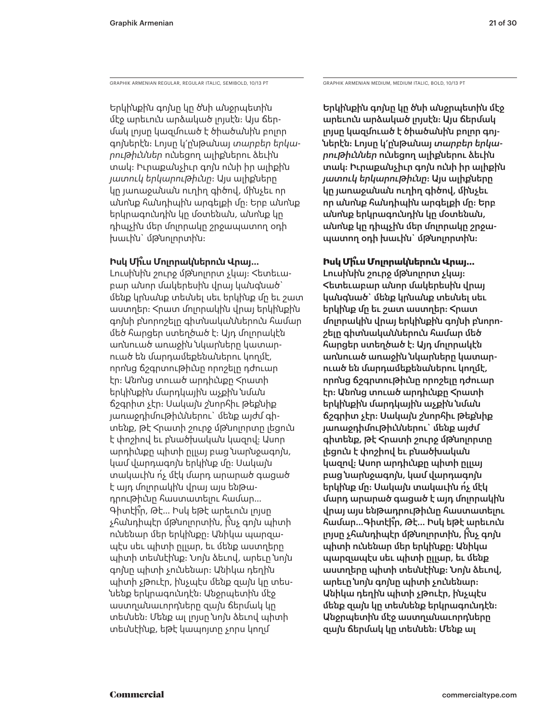GRAPHIK ARMENIAN REGULAR, REGULAR ITALIC, SEMIBOLD, 10/13 PT GRAPHIK ARMENIAN MEDIUM, MEDIUM ITALIC, BOLD, 10/13 PT

Երկինքին գոյնը կը ծնի անջրպետին մէջ արեւուն արձակած լոյսէն: Այս ճերմակ լոյսը կազմուած է ծիածանին բոլոր գոյներէն: Լոյսը կ՚ընթանայ *տարբեր երկարութիւններ* ունեցող ալիքներու ձեւին տակ: Իւրաքանչիւր գոյն ունի իր ալիքին *յատուկ երկարութիւնը*: Այս ալիքները կը յառաջանան ուղիղ գիծով, մինչեւ որ անոնք հանդիպին արգելքի մը: Երբ անոնք երկրագունդին կը մօտենան, անոնք կը դիպչին մեր մոլորակը շրջապատող օդի խաւին` մթնոլորտին:

## **Իսկ Մի՞ւս Մոլորակներուն Վրայ…**

Լուսինին շուրջ մթնոլորտ չկայ: Հետեւաբար անոր մակերեսին վրայ կանգնած` մենք կրնանք տեսնել սեւ երկինք մը եւ շատ աստղեր: Հրատ մոլորակին վրայ երկինքին գոյնի բնորոշելը գիտնականներուն համար մեծ հարցեր ստեղծած է: Այդ մոլորակէն առնուած առաջին նկարները կատարուած են մարդամեքենաներու կողմէ, որոնց ճշգրտութիւնը որոշելը դժուար էր: Անոնց տուած արդիւնքը Հրատի երկինքին մարդկային աչքին նման ճշգրիտ չէր: Սակայն շնորհիւ թեքնիք յառաջդիմութիւններու` մենք այժմ գիտենք, թէ Հրատի շուրջ մթնոլորտը լեցուն է փոշիով եւ բնածխական կազով: Ասոր արդիւնքը պիտի ըլլայ բաց նարնջագոյն, կամ վարդագոյն երկինք մը: Սակայն տակաւին ո՛չ մէկ մարդ արարած գացած է այդ մոլորակին վրայ այս ենթադրութիւնը հաստատելու համար… Գիտէի՞ր, Թէ… Իսկ եթէ արեւուն լոյսը չհանդիպէր մթնոլորտին, ի՞նչ գոյն պիտի ունենար մեր երկինքը: Անիկա պարզապէս սեւ պիտի ըլլար, եւ մենք աստղերը պիտի տեսնէինք: Նոյն ձեւով, արեւը նոյն գոյնը պիտի չունենար: Անիկա դեղին պիտի չթուէր, ինչպէս մենք զայն կը տեսնենք երկրագունդէն: Անջրպետին մէջ աստղանաւորդները զայն ճերմակ կը տեսնեն: Մենք ալ լոյսը նոյն ձեւով պիտի տեսնէինք, եթէ կապոյտը չորս կողմ

Երկինքին գոյնը կը ծնի անջրպետին մէջ արեւուն արձակած լոյսէն: Այս ճերմակ լոյսը կազմուած է ծիածանին բոլոր գոյներէն: Լոյսը կ՚ընթանայ *տարբեր երկարութիւններ* ունեցող ալիքներու ձեւին տակ: Իւրաքանչիւր գոյն ունի իր ալիքին *յատուկ երկարութիւնը*: Այս ալիքները կը յառաջանան ուղիղ գիծով, մինչեւ որ անոնք հանդիպին արգելքի մը: Երբ անոնք երկրագունդին կը մօտենան, անոնք կը դիպչին մեր մոլորակը շրջապատող օդի խաւին` մթնոլորտին:

## **Իսկ Մի՞ւս Մոլորակներուն Վրայ…**

Լուսինին շուրջ մթնոլորտ չկայ: Հետեւաբար անոր մակերեսին վրայ կանգնած` մենք կրնանք տեսնել սեւ երկինք մը եւ շատ աստղեր: Հրատ մոլորակին վրայ երկինքին գոյնի բնորոշելը գիտնականներուն համար մեծ հարցեր ստեղծած է: Այդ մոլորակէն առնուած առաջին նկարները կատարուած են մարդամեքենաներու կողմէ, որոնց ճշգրտութիւնը որոշելը դժուար էր: Անոնց տուած արդիւնքը Հրատի երկինքին մարդկային աչքին նման ճշգրիտ չէր: Սակայն շնորհիւ թեքնիք յառաջդիմութիւններու` մենք այժմ գիտենք, թէ Հրատի շուրջ մթնոլորտը լեցուն է փոշիով եւ բնածխական կազով: Ասոր արդիւնքը պիտի ըլլայ բաց նարնջագոյն, կամ վարդագոյն երկինք մը: Սակայն տակաւին ո՛չ մէկ մարդ արարած գացած է այդ մոլորակին վրայ այս ենթադրութիւնը հաստատելու համար…Գիտէի՞ր, Թէ… Իսկ եթէ արեւուն լոյսը չհանդիպէր մթնոլորտին, ի՞նչ գոյն պիտի ունենար մեր երկինքը: Անիկա պարզապէս սեւ պիտի ըլլար, եւ մենք աստղերը պիտի տեսնէինք: Նոյն ձեւով, արեւը նոյն գոյնը պիտի չունենար: Անիկա դեղին պիտի չթուէր, ինչպէս մենք զայն կը տեսնենք երկրագունդէն: Անջրպետին մէջ աստղանաւորդները զայն ճերմակ կը տեսնեն: Մենք ալ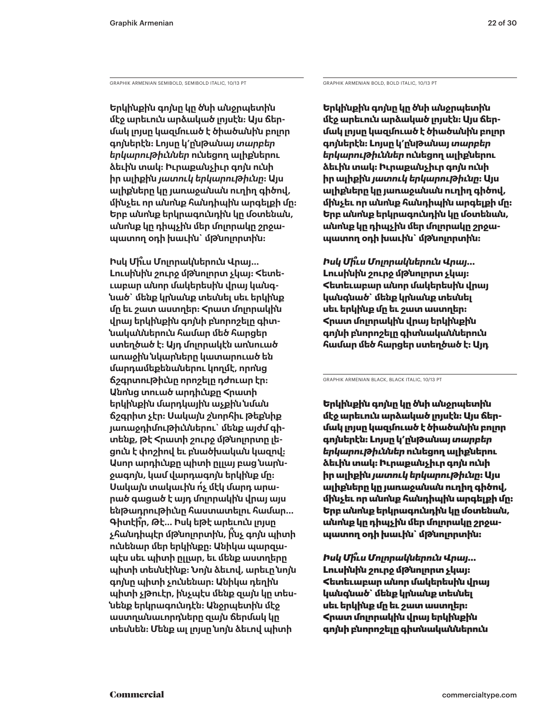GRAPHIK ARMENIAN SEMIBOLD, SEMIBOLD ITALIC, 10/13 PT GRAPHIK ARMENIAN BOLD, BOLD ITALIC, 10/13 PT

**Երկինքին գոյնը կը ծնի անջրպետին մէջ արեւուն արձակած լոյսէն: Այս ճերմակ լոյսը կազմուած է ծիածանին բոլոր գոյներէն: Լոյսը կ՚ընթանայ** *տարբեր երկարութիւններ* **ունեցող ալիքներու ձեւին տակ: Իւրաքանչիւր գոյն ունի իր ալիքին** *յատուկ երկարութիւնը***: Այս ալիքները կը յառաջանան ուղիղ գիծով, մինչեւ որ անոնք հանդիպին արգելքի մը: Երբ անոնք երկրագունդին կը մօտենան, անոնք կը դիպչին մեր մոլորակը շրջապատող օդի խաւին` մթնոլորտին:** 

**Իսկ Մի՞ւս Մոլորակներուն Վրայ… Լուսինին շուրջ մթնոլորտ չկայ: Հետեւաբար անոր մակերեսին վրայ կանգնած` մենք կրնանք տեսնել սեւ երկինք մը եւ շատ աստղեր: Հրատ մոլորակին վրայ երկինքին գոյնի բնորոշելը գիտնականներուն համար մեծ հարցեր ստեղծած է: Այդ մոլորակէն առնուած առաջին նկարները կատարուած են մարդամեքենաներու կողմէ, որոնց ճշգրտութիւնը որոշելը դժուար էր: Անոնց տուած արդիւնքը Հրատի երկինքին մարդկային աչքին նման ճշգրիտ չէր: Սակայն շնորհիւ թեքնիք յառաջդիմութիւններու` մենք այժմ գիտենք, թէ Հրատի շուրջ մթնոլորտը լեցուն է փոշիով եւ բնածխական կազով: Ասոր արդիւնքը պիտի ըլլայ բաց նարնջագոյն, կամ վարդագոյն երկինք մը: Սակայն տակաւին ո՛չ մէկ մարդ արարած գացած է այդ մոլորակին վրայ այս ենթադրութիւնը հաստատելու համար… Գիտէի՞ր, Թէ… Իսկ եթէ արեւուն լոյսը չհանդիպէր մթնոլորտին, ի՞նչ գոյն պիտի ունենար մեր երկինքը: Անիկա պարզապէս սեւ պիտի ըլլար, եւ մենք աստղերը պիտի տեսնէինք: Նոյն ձեւով, արեւը նոյն գոյնը պիտի չունենար: Անիկա դեղին պիտի չթուէր, ինչպէս մենք զայն կը տեսնենք երկրագունդէն: Անջրպետին մէջ աստղանաւորդները զայն ճերմակ կը տեսնեն: Մենք ալ լոյսը նոյն ձեւով պիտի** 

**Երկինքին գոյնը կը ծնի անջրպետին մէջ արեւուն արձակած լոյսէն: Այս ճերմակ լոյսը կազմուած է ծիածանին բոլոր գոյներէն: Լոյսը կ՚ընթանայ** *տարբեր երկարութիւններ* **ունեցող ալիքներու ձեւին տակ: Իւրաքանչիւր գոյն ունի իր ալիքին** *յատուկ երկարութիւնը***: Այս ալիքները կը յառաջանան ուղիղ գիծով, մինչեւ որ անոնք հանդիպին արգելքի մը: Երբ անոնք երկրագունդին կը մօտենան, անոնք կը դիպչին մեր մոլորակը շրջապատող օդի խաւին` մթնոլորտին:** 

*Իսկ Մի՞ւս Մոլորակներուն Վրայ…* **Լուսինին շուրջ մթնոլորտ չկայ: Հետեւաբար անոր մակերեսին վրայ կանգնած` մենք կրնանք տեսնել սեւ երկինք մը եւ շատ աստղեր: Հրատ մոլորակին վրայ երկինքին գոյնի բնորոշելը գիտնականներուն համար մեծ հարցեր ստեղծած է: Այդ** 

GRAPHIK ARMENIAN BLACK, BLACK ITALIC, 10/13 PT

Երկինքին գոյնը կը ծնի անջրպետին մէջ արեւուն արձակած լոյսէն: Այս ճերմակ լոյսը կազմուած է ծիածանին բոլոր գոյներէն: Լոյսը կ՚ընթանայ *տարբեր երկարութիւններ* ունեցող ալիքներու ձեւին տակ: Իւրաքանչիւր գոյն ունի իր ալիքին *յատուկ երկարութիւնը*: Այս ալիքները կը յառաջանան ուղիղ գիծով, մինչեւ որ անոնք հանդիպին արգելքի մը: Երբ անոնք երկրագունդին կը մօտենան, անոնք կը դիպչին մեր մոլորակը շրջապատող օդի խաւին` մթնոլորտին:

*Իսկ Մի՞ւս Մոլորակներուն Վրայ…* Լուսինին շուրջ մթնոլորտ չկայ: Հետեւաբար անոր մակերեսին վրայ կանգնած` մենք կրնանք տեսնել սեւ երկինք մը եւ շատ աստղեր: Հրատ մոլորակին վրայ երկինքին գոյնի բնորոշելը գիտնականներուն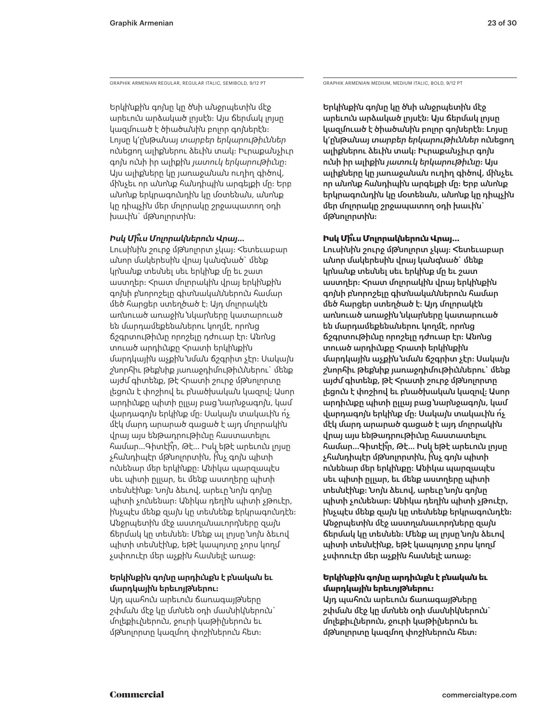GRAPHIK ARMENIAN REGULAR, REGULAR ITALIC, SEMIBOLD, 9/12 PT GRAPHIK ARMENIAN MEDIUM, MEDIUM ITALIC, BOLD, 9/12 PT

Երկինքին գոյնը կը ծնի անջրպետին մէջ արեւուն արձակած լոյսէն: Այս ճերմակ լոյսը կազմուած է ծիածանին բոլոր գոյներէն: Լոյսը կ՚ընթանայ *տարբեր երկարութիւններ* ունեցող ալիքներու ձեւին տակ: Իւրաքանչիւր գոյն ունի իր ալիքին *յատուկ երկարութիւնը*: Այս ալիքները կը յառաջանան ուղիղ գիծով, մինչեւ որ անոնք հանդիպին արգելքի մը: Երբ անոնք երկրագունդին կը մօտենան, անոնք կը դիպչին մեր մոլորակը շրջապատող օդի խաւին` մթնոլորտին:

## *Իսկ Մի՞ւս Մոլորակներուն Վրայ…*

Լուսինին շուրջ մթնոլորտ չկայ: Հետեւաբար անոր մակերեսին վրայ կանգնած` մենք կրնանք տեսնել սեւ երկինք մը եւ շատ աստղեր: Հրատ մոլորակին վրայ երկինքին գոյնի բնորոշելը գիտնականներուն համար մեծ հարցեր ստեղծած է: Այդ մոլորակէն առնուած առաջին նկարները կատարուած են մարդամեքենաներու կողմէ, որոնց ճշգրտութիւնը որոշելը դժուար էր: Անոնց տուած արդիւնքը Հրատի երկինքին մարդկային աչքին նման ճշգրիտ չէր: Սակայն շնորհիւ թեքնիք յառաջդիմութիւններու` մենք այժմ գիտենք, թէ Հրատի շուրջ մթնոլորտը լեցուն է փոշիով եւ բնածխական կազով: Ասոր արդիւնքը պիտի ըլլայ բաց նարնջագոյն, կամ վարդագոյն երկինք մը: Սակայն տակաւին ո՛չ մէկ մարդ արարած գացած է այդ մոլորակին վրայ այս ենթադրութիւնը հաստատելու համար…Գիտէի՞ր, Թէ… Իսկ եթէ արեւուն լոյսը չհանդիպէր մթնոլորտին, ի՞նչ գոյն պիտի ունենար մեր երկինքը: Անիկա պարզապէս սեւ պիտի ըլլար, եւ մենք աստղերը պիտի տեսնէինք: Նոյն ձեւով, արեւը նոյն գոյնը պիտի չունենար: Անիկա դեղին պիտի չթուէր, ինչպէս մենք զայն կը տեսնենք երկրագունդէն: Անջրպետին մէջ աստղանաւորդները զայն ճերմակ կը տեսնեն: Մենք ալ լոյսը նոյն ձեւով պիտի տեսնէինք, եթէ կապոյտը չորս կողմ չսփռուէր մեր աչքին հասնելէ առաջ:

## **Երկինքին գոյնը արդիւնքն է բնական եւ մարդկային երեւոյթներու:**

Այդ պահուն արեւուն ճառագայթները շփման մէջ կը մտնեն օդի մասնիկներուն` մոլեքիւլներուն, ջուրի կաթիլներուն եւ մթնոլորտը կազմող փոշիներուն հետ:

Երկինքին գոյնը կը ծնի անջրպետին մէջ արեւուն արձակած լոյսէն: Այս ճերմակ լոյսը կազմուած է ծիածանին բոլոր գոյներէն: Լոյսը կ՚ընթանայ *տարբեր երկարութիւններ* ունեցող ալիքներու ձեւին տակ: Իւրաքանչիւր գոյն ունի իր ալիքին *յատուկ երկարութիւնը*: Այս ալիքները կը յառաջանան ուղիղ գիծով, մինչեւ որ անոնք հանդիպին արգելքի մը: Երբ անոնք երկրագունդին կը մօտենան, անոնք կը դիպչին մեր մոլորակը շրջապատող օդի խաւին` մթնոլորտին:

### **Իսկ Մի՞ւս Մոլորակներուն Վրայ…**

Լուսինին շուրջ մթնոլորտ չկայ: Հետեւաբար անոր մակերեսին վրայ կանգնած` մենք կրնանք տեսնել սեւ երկինք մը եւ շատ աստղեր: Հրատ մոլորակին վրայ երկինքին գոյնի բնորոշելը գիտնականներուն համար մեծ հարցեր ստեղծած է: Այդ մոլորակէն առնուած առաջին նկարները կատարուած են մարդամեքենաներու կողմէ, որոնց ճշգրտութիւնը որոշելը դժուար էր: Անոնց տուած արդիւնքը Հրատի երկինքին մարդկային աչքին նման ճշգրիտ չէր: Սակայն շնորհիւ թեքնիք յառաջդիմութիւններու` մենք այժմ գիտենք, թէ Հրատի շուրջ մթնոլորտը լեցուն է փոշիով եւ բնածխական կազով: Ասոր արդիւնքը պիտի ըլլայ բաց նարնջագոյն, կամ վարդագոյն երկինք մը: Սակայն տակաւին ո՛չ մէկ մարդ արարած գացած է այդ մոլորակին վրայ այս ենթադրութիւնը հաստատելու համար…Գիտէի՞ր, Թէ… Իսկ եթէ արեւուն լոյսը չհանդիպէր մթնոլորտին, ի՞նչ գոյն պիտի ունենար մեր երկինքը: Անիկա պարզապէս սեւ պիտի ըլլար, եւ մենք աստղերը պիտի տեսնէինք: Նոյն ձեւով, արեւը նոյն գոյնը պիտի չունենար: Անիկա դեղին պիտի չթուէր, ինչպէս մենք զայն կը տեսնենք երկրագունդէն: Անջրպետին մէջ աստղանաւորդները զայն ճերմակ կը տեսնեն: Մենք ալ լոյսը նոյն ձեւով պիտի տեսնէինք, եթէ կապոյտը չորս կողմ չսփռուէր մեր աչքին հասնելէ առաջ:

## **Երկինքին գոյնը արդիւնքն է բնական եւ մարդկային երեւոյթներու:**

Այդ պահուն արեւուն ճառագայթները շփման մէջ կը մտնեն օդի մասնիկներուն` մոլեքիւլներուն, ջուրի կաթիլներուն եւ մթնոլորտը կազմող փոշիներուն հետ: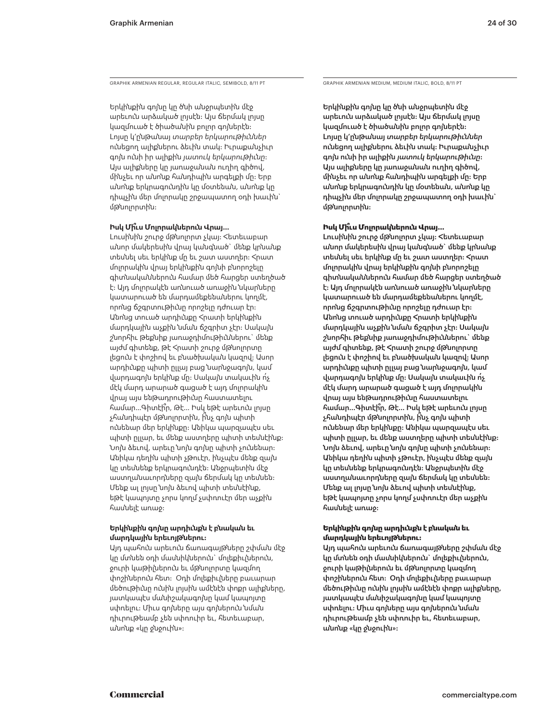GRAPHIK ARMENIAN REGULAR, REGULAR ITALIC, SEMIBOLD, 8/11 PT GRAPHIK ARMENIAN MEDIUM, MEDIUM ITALIC, BOLD, 8/11 PT

Երկինքին գոյնը կը ծնի անջրպետին մէջ արեւուն արձակած լոյսէն: Այս ճերմակ լոյսը կազմուած է ծիածանին բոլոր գոյներէն: Լոյսը կ՚ընթանայ *տարբեր երկարութիւններ* ունեցող ալիքներու ձեւին տակ: Իւրաքանչիւր գոյն ունի իր ալիքին *յատուկ երկարութիւնը*: Այս ալիքները կը յառաջանան ուղիղ գիծով, մինչեւ որ անոնք հանդիպին արգելքի մը: Երբ անոնք երկրագունդին կը մօտենան, անոնք կը դիպչին մեր մոլորակը շրջապատող օդի խաւին` մթնոլորտին:

### **Իսկ Մի՞ւս Մոլորակներուն Վրայ…**

Լուսինին շուրջ մթնոլորտ չկայ: Հետեւաբար անոր մակերեսին վրայ կանգնած` մենք կրնանք տեսնել սեւ երկինք մը եւ շատ աստղեր: Հրատ մոլորակին վրայ երկինքին գոյնի բնորոշելը գիտնականներուն համար մեծ հարցեր ստեղծած է: Այդ մոլորակէն առնուած առաջին նկարները կատարուած են մարդամեքենաներու կողմէ, որոնց ճշգրտութիւնը որոշելը դժուար էր: Անոնց տուած արդիւնքը Հրատի երկինքին մարդկային աչքին նման ճշգրիտ չէր: Սակայն շնորհիւ թեքնիք յառաջդիմութիւններու` մենք այժմ գիտենք, թէ Հրատի շուրջ մթնոլորտը լեցուն է փոշիով եւ բնածխական կազով: Ասոր արդիւնքը պիտի ըլլայ բաց նարնջագոյն, կամ վարդագոյն երկինք մը: Սակայն տակաւին ո՛չ մէկ մարդ արարած գացած է այդ մոլորակին վրայ այս ենթադրութիւնը հաստատելու համար…Գիտէի՞ր, Թէ… Իսկ եթէ արեւուն լոյսը չհանդիպէր մթնոլորտին, ի՞նչ գոյն պիտի ունենար մեր երկինքը: Անիկա պարզապէս սեւ պիտի ըլլար, եւ մենք աստղերը պիտի տեսնէինք: Նոյն ձեւով, արեւը նոյն գոյնը պիտի չունենար: Անիկա դեղին պիտի չթուէր, ինչպէս մենք զայն կը տեսնենք երկրագունդէն: Անջրպետին մէջ աստղանաւորդները զայն ճերմակ կը տեսնեն: Մենք ալ լոյսը նոյն ձեւով պիտի տեսնէինք, եթէ կապոյտը չորս կողմ չսփռուէր մեր աչքին հասնելէ առաջ:

### **Երկինքին գոյնը արդիւնքն է բնական եւ մարդկային երեւոյթներու:**

Այդ պահուն արեւուն ճառագայթները շփման մէջ կը մտնեն օդի մասնիկներուն` մոլեքիւլներուն, ջուրի կաթիլներուն եւ մթնոլորտը կազմող փոշիներուն հետ: Օդի մոլեքիւլները բաւարար մեծութիւնը ունին լոյսին ամէնէն փոքր ալիքները, յատկապէս մանիշակագոյնը կամ կապոյտը սփռելու: Միւս գոյները այս գոյներուն նման դիւրութեամբ չեն սփռուիր եւ, հետեւաբար, անոնք «կը ջնջուին»:

Երկինքին գոյնը կը ծնի անջրպետին մէջ արեւուն արձակած լոյսէն: Այս ճերմակ լոյսը կազմուած է ծիածանին բոլոր գոյներէն: Լոյսը կ՚ընթանայ *տարբեր երկարութիւններ* ունեցող ալիքներու ձեւին տակ: Իւրաքանչիւր գոյն ունի իր ալիքին *յատուկ երկարութիւնը*: Այս ալիքները կը յառաջանան ուղիղ գիծով, մինչեւ որ անոնք հանդիպին արգելքի մը: Երբ անոնք երկրագունդին կը մօտենան, անոնք կը դիպչին մեր մոլորակը շրջապատող օդի խաւին` մթնոլորտին:

### **Իսկ Մի՞ւս Մոլորակներուն Վրայ…**

Լուսինին շուրջ մթնոլորտ չկայ: Հետեւաբար անոր մակերեսին վրայ կանգնած` մենք կրնանք տեսնել սեւ երկինք մը եւ շատ աստղեր: Հրատ մոլորակին վրայ երկինքին գոյնի բնորոշելը գիտնականներուն համար մեծ հարցեր ստեղծած է: Այդ մոլորակէն առնուած առաջին նկարները կատարուած են մարդամեքենաներու կողմէ, որոնց ճշգրտութիւնը որոշելը դժուար էր: Անոնց տուած արդիւնքը Հրատի երկինքին մարդկային աչքին նման ճշգրիտ չէր: Սակայն շնորհիւ թեքնիք յառաջդիմութիւններու` մենք այժմ գիտենք, թէ Հրատի շուրջ մթնոլորտը լեցուն է փոշիով եւ բնածխական կազով: Ասոր արդիւնքը պիտի ըլլայ բաց նարնջագոյն, կամ վարդագոյն երկինք մը: Սակայն տակաւին ո՛չ մէկ մարդ արարած գացած է այդ մոլորակին վրայ այս ենթադրութիւնը հաստատելու համար…Գիտէի՞ր, Թէ… Իսկ եթէ արեւուն լոյսը չհանդիպէր մթնոլորտին, ի՞նչ գոյն պիտի ունենար մեր երկինքը: Անիկա պարզապէս սեւ պիտի ըլլար, եւ մենք աստղերը պիտի տեսնէինք: Նոյն ձեւով, արեւը նոյն գոյնը պիտի չունենար: Անիկա դեղին պիտի չթուէր, ինչպէս մենք զայն կը տեսնենք երկրագունդէն: Անջրպետին մէջ աստղանաւորդները զայն ճերմակ կը տեսնեն: Մենք ալ լոյսը նոյն ձեւով պիտի տեսնէինք, եթէ կապոյտը չորս կողմ չսփռուէր մեր աչքին հասնելէ առաջ:

### **Երկինքին գոյնը արդիւնքն է բնական եւ մարդկային երեւոյթներու:**

Այդ պահուն արեւուն ճառագայթները շփման մէջ կը մտնեն օդի մասնիկներուն` մոլեքիւլներուն, ջուրի կաթիլներուն եւ մթնոլորտը կազմող փոշիներուն հետ: Օդի մոլեքիւլները բաւարար մեծութիւնը ունին լոյսին ամէնէն փոքր ալիքները, յատկապէս մանիշակագոյնը կամ կապոյտը սփռելու: Միւս գոյները այս գոյներուն նման դիւրութեամբ չեն սփռուիր եւ, հետեւաբար, անոնք «կը ջնջուին»: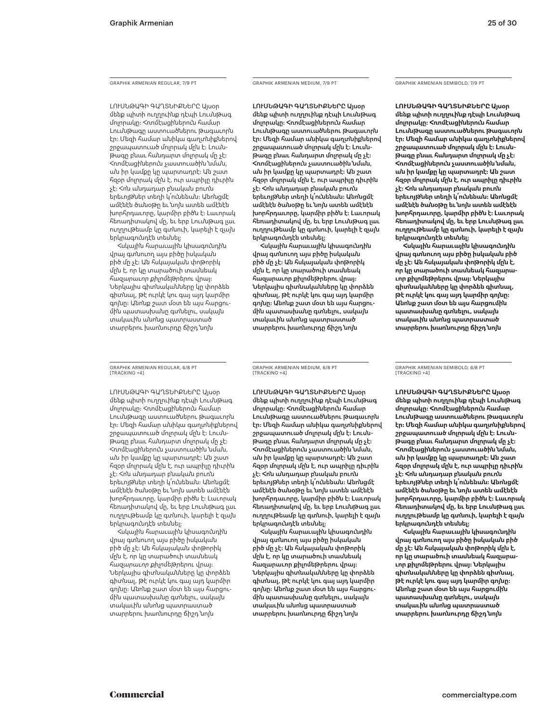GRAPHIK ARMENIAN REGULAR, 7/9 PT

ԼՈՒՍՆԹԱԳԻ ԳԱՂՏՆԻՔՆԵՐԸ Այսօր մենք պիտի ուղղուինք դէպի Լուսնթագ մոլորակը: Հռոմէացիներուն համար Լուսնթագը աստուածներու թագաւորն էր: Մեզի համար անիկա գաղտնիքներով շրջապատուած մոլորակ մըն է: Լուսնթագը բնաւ հանդարտ մոլորակ մը չէ: Հռոմէացիներուն չաստուածին նման, ան իր կամքը կը պարտադրէ: Ան շատ հզօր մոլորակ մըն է, ուր ապրիլը դիւրին չէ: Հոն անդադար բնական բուռն երեւոյթներ տեղի կ՛ունենան: Անոնցմէ ամէնէն ծանօթը եւ նոյն ատեն ամէնէն խորհրդաւորը, կարմիր բիծն է: Լաւորակ հեռադիտակով մը, եւ երբ Լուսնթագ լաւ ուղղութեամբ կը գտնուի, կարելի է զայն երկրագունդէն տեսնել:

Հսկային հարաւային կիսագունդին վրայ գտնուող այս բիծը իսկական բիծ մը չէ: Ան հսկայական փոթորիկ մըն է, որ կը տարածուի տասնեակ *հազարաւոր քիլոմեթրերու* վրայ: Ներկայիս գիտնականները կը փորձեն գիտնալ, թէ ուրկէ կու գայ այդ կարմիր գոյնը: Անոնք շատ մօտ են այս հարցումին պատասխանը գտնելու, սակայն տակաւին անոնց պատրաստած տարրերու խառնուրդը ճիշդ նոյն

GRAPHIK ARMENIAN REGULAR, 6/8 PT [TRACKING +4]

ԼՈՒՍՆԹԱԳԻ ԳԱՂՏՆԻՔՆԵՐԸ Այսօր մենք պիտի ուղղուինք դէպի Լուսնթագ մոլորակը: Հռոմէացիներուն համար Լուսնթագը աստուածներու թագաւորն էր: Մեզի համար անիկա գաղտնիքներով շրջապատուած մոլորակ մըն է: Լուսնթագը բնաւ հանդարտ մոլորակ մը չէ: Հռոմէացիներուն չաստուածին նման, ան իր կամքը կը պարտադրէ: Ան շատ հզօր մոլորակ մըն է, ուր ապրիլը դիւրին չէ: Հոն անդադար բնական բուռն երեւոյթներ տեղի կ՛ունենան: Անոնցմէ ամէնէն ծանօթը եւ նոյն ատեն ամէնէն խորհրդաւորը, կարմիր բիծն է: Լաւորակ հեռադիտակով մը, եւ երբ Լուսնթագ լաւ ուղղութեամբ կը գտնուի, կարելի է զայն երկրագունդէն տեսնել:

Հսկային հարաւային կիսագունդին վրայ գտնուող այս բիծը իսկական բիծ մը չէ: Ան հսկայական փոթորիկ մըն է, որ կը տարածուի տասնեակ *հազարաւոր քիլոմեթրերու* վրայ: Ներկայիս գիտնականները կը փորձեն գիտնալ, թէ ուրկէ կու գայ այդ կարմիր գոյնը: Անոնք շատ մօտ են այս հարցումին պատասխանը գտնելու, սակայն տակաւին անոնց պատրաստած տարրերու խառնուրդը ճիշդ նոյն

GRAPHIK ARMENIAN MEDIUM, 7/9 PT

ԼՈՒՍՆԹԱԳԻ ԳԱՂՏՆԻՔՆԵՐԸ Այսօր մենք պիտի ուղղուինք դէպի Լուսնթագ մոլորակը: Հռոմէացիներուն համար Լուսնթագը աստուածներու թագաւորն էր: Մեզի համար անիկա գաղտնիքներով շրջապատուած մոլորակ մըն է: Լուսնթագը բնաւ հանդարտ մոլորակ մը չէ: Հռոմէացիներուն չաստուածին նման, ան իր կամքը կը պարտադրէ: Ան շատ հզօր մոլորակ մըն է, ուր ապրիլը դիւրին չէ: Հոն անդադար բնական բուռն երեւոյթներ տեղի կ՛ունենան: Անոնցմէ ամէնէն ծանօթը եւ նոյն ատեն ամէնէն խորհրդաւորը, կարմիր բիծն է: Լաւորակ հեռադիտակով մը, եւ երբ Լուսնթագ լաւ ուղղութեամբ կը գտնուի, կարելի է զայն երկրագունդէն տեսնել:

Հսկային հարաւային կիսագունդին վրայ գտնուող այս բիծը իսկական բիծ մը չէ: Ան հսկայական փոթորիկ մըն է, որ կը տարածուի տասնեակ հազարաւոր քիլոմեթրերու վրայ: Ներկայիս գիտնականները կը փորձեն գիտնալ, թէ ուրկէ կու գայ այդ կարմիր գոյնը: Անոնք շատ մօտ են այս հարցումին պատասխանը գտնելու, սակայն տակաւին անոնց պատրաստած տարրերու խառնուրդը ճիշդ նոյն

GRAPHIK ARMENIAN SEMIBOLD, 7/9 PT

**ԼՈՒՍՆԹԱԳԻ ԳԱՂՏՆԻՔՆԵՐԸ Այսօր մենք պիտի ուղղուինք դէպի Լուսնթագ մոլորակը: Հռոմէացիներուն համար Լուսնթագը աստուածներու թագաւորն էր: Մեզի համար անիկա գաղտնիքներով շրջապատուած մոլորակ մըն է: Լուսնթագը բնաւ հանդարտ մոլորակ մը չէ: Հռոմէացիներուն չաստուածին նման, ան իր կամքը կը պարտադրէ: Ան շատ հզօր մոլորակ մըն է, ուր ապրիլը դիւրին չէ: Հոն անդադար բնական բուռն երեւոյթներ տեղի կ՛ունենան: Անոնցմէ ամէնէն ծանօթը եւ նոյն ատեն ամէնէն խորհրդաւորը, կարմիր բիծն է: Լաւորակ հեռադիտակով մը, եւ երբ Լուսնթագ լաւ ուղղութեամբ կը գտնուի, կարելի է զայն երկրագունդէն տեսնել:**

**Հսկային հարաւային կիսագունդին վրայ գտնուող այս բիծը իսկական բիծ մը չէ: Ան հսկայական փոթորիկ մըն է, որ կը տարածուի տասնեակ հազարաւոր քիլոմեթրերու վրայ: Ներկայիս գիտնականները կը փորձեն գիտնալ, թէ ուրկէ կու գայ այդ կարմիր գոյնը: Անոնք շատ մօտ են այս հարցումին պատասխանը գտնելու, սակայն տակաւին անոնց պատրաստած տարրերու խառնուրդը ճիշդ նոյն** 

GRAPHIK ARMENIAN MEDIUM, 6/8 PT [TRACKING +4]

ԼՈՒՍՆԹԱԳԻ ԳԱՂՏՆԻՔՆԵՐԸ Այսօր մենք պիտի ուղղուինք դէպի Լուսնթագ մոլորակը: Հռոմէացիներուն համար Լուսնթագը աստուածներու թագաւորն էր: Մեզի համար անիկա գաղտնիքներով շրջապատուած մոլորակ մըն է: Լուսնթագը բնաւ հանդարտ մոլորակ մը չէ: Հռոմէացիներուն չաստուածին նման, ան իր կամքը կը պարտադրէ: Ան շատ հզօր մոլորակ մըն է, ուր ապրիլը դիւրին չէ: Հոն անդադար բնական բուռն երեւոյթներ տեղի կ՛ունենան: Անոնցմէ ամէնէն ծանօթը եւ նոյն ատեն ամէնէն խորհրդաւորը, կարմիր բիծն է: Լաւորակ հեռադիտակով մը, եւ երբ Լուսնթագ լաւ ուղղութեամբ կը գտնուի, կարելի է զայն երկրագունդէն տեսնել:

Հսկային հարաւային կիսագունդին վրայ գտնուող այս բիծը իսկական բիծ մը չէ: Ան հսկայական փոթորիկ մըն է, որ կը տարածուի տասնեակ հազարաւոր քիլոմեթրերու վրայ: Ներկայիս գիտնականները կը փորձեն գիտնալ, թէ ուրկէ կու գայ այդ կարմիր գոյնը: Անոնք շատ մօտ են այս հարցումին պատասխանը գտնելու, սակայն տակաւին անոնց պատրաստած տարրերու խառնուրդը ճիշդ նոյն

GRAPHIK ARMENIAN SEMIBOLD, 6/8 PT [TRACKING +4]

**ԼՈՒՍՆԹԱԳԻ ԳԱՂՏՆԻՔՆԵՐԸ Այսօր մենք պիտի ուղղուինք դէպի Լուսնթագ մոլորակը: Հռոմէացիներուն համար Լուսնթագը աստուածներու թագաւորն էր: Մեզի համար անիկա գաղտնիքներով շրջապատուած մոլորակ մըն է: Լուսնթագը բնաւ հանդարտ մոլորակ մը չէ: Հռոմէացիներուն չաստուածին նման, ան իր կամքը կը պարտադրէ: Ան շատ հզօր մոլորակ մըն է, ուր ապրիլը դիւրին չէ: Հոն անդադար բնական բուռն երեւոյթներ տեղի կ՛ունենան: Անոնցմէ ամէնէն ծանօթը եւ նոյն ատեն ամէնէն խորհրդաւորը, կարմիր բիծն է: Լաւորակ հեռադիտակով մը, եւ երբ Լուսնթագ լաւ ուղղութեամբ կը գտնուի, կարելի է զայն երկրագունդէն տեսնել:**

**Հսկային հարաւային կիսագունդին վրայ գտնուող այս բիծը իսկական բիծ մը չէ: Ան հսկայական փոթորիկ մըն է, որ կը տարածուի տասնեակ հազարաւոր քիլոմեթրերու վրայ: Ներկայիս գիտնականները կը փորձեն գիտնալ, թէ ուրկէ կու գայ այդ կարմիր գոյնը: Անոնք շատ մօտ են այս հարցումին պատասխանը գտնելու, սակայն տակաւին անոնց պատրաստած տարրերու խառնուրդը ճիշդ նոյն**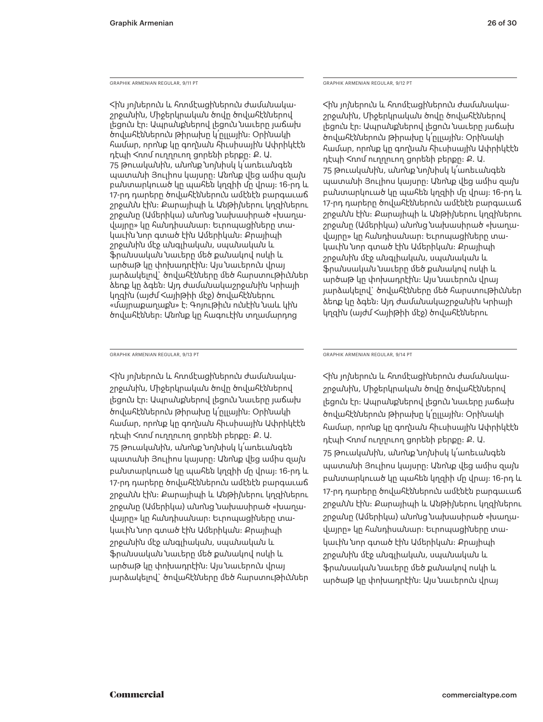GRAPHIK ARMENIAN REGULAR, 9/11 PT

Հին յոյներուն եւ հռոմէացիներուն ժամանակաշրջանին, Միջերկրական ծովը ծովահէններով լեցուն էր: Ապրանքներով լեցուն նաւերը յաճախ ծովահէններուն թիրախը կ՛ըլլային: Օրինակի համար, որոնք կը գողնան հիւսիսային Ափրիկէէն դէպի Հռոմ ուղղուող ցորենի բերքը: Ք. Ա. 75 թուականին, անոնք նոյնիսկ կ՛առեւանգեն պատանի Յուլիոս կայսրը: Անոնք վեց ամիս զայն բանտարկուած կը պահեն կղզիի մը վրայ: 16-րդ եւ 17-րդ դարերը ծովահէններուն ամէնէն բարգաւաճ շրջանն էին: Քարայիպի եւ Անթիյներու կղզիներու շրջանը (Ամերիկա) անոնց նախասիրած «խաղավայրը» կը հանդիսանար: Եւրոպացիները տակաւին նոր գտած էին Ամերիկան: Քրայիպի շրջանին մէջ անգլիական, սպանական եւ ֆրանսական նաւերը մեծ քանակով ոսկի եւ արծաթ կը փոխադրէին: Այս նաւերուն վրայ յարձակելով` ծովահէնները մեծ հարստութիւններ ձեռք կը ձգեն: Այդ ժամանակաշրջանին Կրիայի կղզին (այժմ Հայիթիի մէջ) ծովահէններու «մայրաքաղաքն» է։ Գոյութիւն ունէին նաև կին ծովահէններ: Անոնք կը հագուէին տղամարդոց

GRAPHIK ARMENIAN REGULAR, 9/13 PT

Հին յոյներուն եւ հռոմէացիներուն ժամանակաշրջանին, Միջերկրական ծովը ծովահէններով լեցուն էր: Ապրանքներով լեցուն նաւերը յաճախ ծովահէններուն թիրախը կ՛ըլլային: Օրինակի համար, որոնք կը գողնան հիւսիսային Ափրիկէէն դէպի Հռոմ ուղղուող ցորենի բերքը: Ք. Ա. 75 թուականին, անոնք նոյնիսկ կ՛առեւանգեն պատանի Յուլիոս կայսրը: Անոնք վեց ամիս զայն բանտարկուած կը պահեն կղզիի մը վրայ: 16-րդ եւ 17-րդ դարերը ծովահէններուն ամէնէն բարգաւաճ շրջանն էին: Քարայիպի եւ Անթիյներու կղզիներու շրջանը (Ամերիկա) անոնց նախասիրած «խաղավայրը» կը հանդիսանար: Եւրոպացիները տակաւին նոր գտած էին Ամերիկան: Քրայիպի շրջանին մէջ անգլիական, սպանական եւ ֆրանսական նաւերը մեծ քանակով ոսկի եւ արծաթ կը փոխադրէին: Այս նաւերուն վրայ յարձակելով` ծովահէնները մեծ հարստութիւններ GRAPHIK ARMENIAN REGULAR, 9/14 PT

Հին յոյներուն եւ հռոմէացիներուն ժամանակաշրջանին, Միջերկրական ծովը ծովահէններով լեցուն էր: Ապրանքներով լեցուն նաւերը յաճախ ծովահէններուն թիրախը կ՛ըլլային: Օրինակի համար, որոնք կը գողնան հիւսիսային Ափրիկէէն դէպի Հռոմ ուղղուող ցորենի բերքը: Ք. Ա. 75 թուականին, անոնք նոյնիսկ կ՛առեւանգեն պատանի Յուլիոս կայսրը: Անոնք վեց ամիս զայն բանտարկուած կը պահեն կղզիի մը վրայ: 16-րդ եւ 17-րդ դարերը ծովահէններուն ամէնէն բարգաւաճ շրջանն էին: Քարայիպի եւ Անթիյներու կղզիներու շրջանը (Ամերիկա) անոնց նախասիրած «խաղավայրը» կը հանդիսանար: Եւրոպացիները տակաւին նոր գտած էին Ամերիկան: Քրայիպի շրջանին մէջ անգլիական, սպանական եւ ֆրանսական նաւերը մեծ քանակով ոսկի եւ արծաթ կը փոխադրէին: Այս նաւերուն վրայ

GRAPHIK ARMENIAN REGULAR, 9/12 PT

Հին յոյներուն եւ հռոմէացիներուն ժամանակաշրջանին, Միջերկրական ծովը ծովահէններով լեցուն էր: Ապրանքներով լեցուն նաւերը յաճախ ծովահէններուն թիրախը կ՛ըլլային: Օրինակի համար, որոնք կը գողնան հիւսիսային Ափրիկէէն դէպի Հռոմ ուղղուող ցորենի բերքը: Ք. Ա. 75 թուականին, անոնք նոյնիսկ կ՛առեւանգեն պատանի Յուլիոս կայսրը: Անոնք վեց ամիս զայն բանտարկուած կը պահեն կղզիի մը վրայ։ 16-րդ և 17-րդ դարերը ծովահէններուն ամէնէն բարգաւաճ շրջանն էին: Քարայիպի եւ Անթիյներու կղզիներու շրջանը (Ամերիկա) անոնց նախասիրած «խաղավայրը» կը հանդիսանար: Եւրոպացիները տակաւին նոր գտած էին Ամերիկան: Քրայիպի շրջանին մէջ անգլիական, սպանական եւ ֆրանսական նաւերը մեծ քանակով ոսկի եւ արծաթ կը փոխադրէին: Այս նաւերուն վրայ յարձակելով` ծովահէնները մեծ հարստութիւններ ձեռք կը ձգեն: Այդ ժամանակաշրջանին Կրիայի կղզին (այժմ Հայիթիի մէջ) ծովահէններու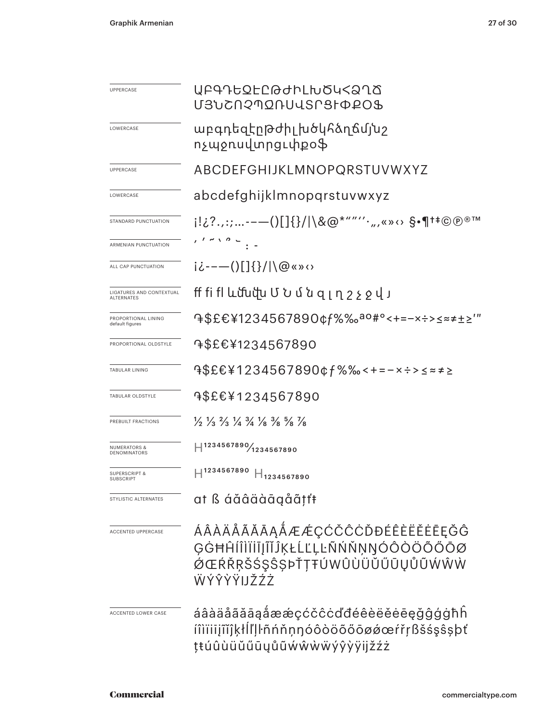| UPPERCASE                              | ႮႼႧႥႦႳჁႺႧႻჁႱჁჿႯჄჇჀჽ<br>U3`UCN? MQNUUSNSI QPO\$                                                                                |  |  |  |  |
|----------------------------------------|-------------------------------------------------------------------------------------------------------------------------------|--|--|--|--|
| LOWERCASE                              | աբգդեզէըթժիլ խծկհձղճմյ՛սշ<br>ոչպջռսվտրցւփքօֆ                                                                                  |  |  |  |  |
| UPPERCASE                              | ABCDEFGHIJKLMNOPQRSTUVWXYZ                                                                                                    |  |  |  |  |
| LOWERCASE                              | abcdefghijklmnopgrstuvwxyz                                                                                                    |  |  |  |  |
| STANDARD PUNCTUATION                   | i!¿?.,:;--—()[]{}/ \&@*""''',,,«»↔ \$•¶†‡©®®™                                                                                 |  |  |  |  |
| ARMENIAN PUNCTUATION                   | $\cdot$ $\cdot$ $\sim$ $\cdot$ $\cdot$ $\cdot$ $\cdot$ $\cdot$                                                                |  |  |  |  |
| ALL CAP PUNCTUATION                    | $i\dot{\iota}$ ---()[]{}/ \@«»<>                                                                                              |  |  |  |  |
| LIGATURES AND CONTEXTUAL<br>ALTERNATES | ff fi fl ևմնվա Մ Ն մ ն զ լ ղ շ չ ջ վ յ                                                                                        |  |  |  |  |
| PROPORTIONAL LINING<br>default figures | 9\$£€¥1234567890¢f%‰ <sup>ao#</sup> °<+=-×÷>≤≈≠±≥'"                                                                           |  |  |  |  |
| PROPORTIONAL OLDSTYLE                  | <b>֏\$£€¥1234567890</b>                                                                                                       |  |  |  |  |
| TABULAR LINING                         | 9\$£€¥1234567890¢f%‰<+=-×÷>≤≈≠≥                                                                                               |  |  |  |  |
| TABULAR OLDSTYLE                       | <b>4\$£€¥1234567890</b>                                                                                                       |  |  |  |  |
| PREBUILT FRACTIONS                     | $\frac{1}{2}$ $\frac{1}{3}$ $\frac{2}{3}$ $\frac{1}{4}$ $\frac{3}{4}$ $\frac{1}{8}$ $\frac{3}{8}$ $\frac{5}{8}$ $\frac{1}{8}$ |  |  |  |  |
| NUMERATORS &<br>DENOMINATORS           | $\text{H}^{1234567890\text{/}}_{1234567890}$                                                                                  |  |  |  |  |
| SUPERSCRIPT &<br>SUBSCRIPT             | 1234567890<br>$\Box$ 1234567890                                                                                               |  |  |  |  |
| STYLISTIC ALTERNATES                   | at ß áăâäàāąåãțťŧ                                                                                                             |  |  |  |  |
| <b>ACCENTED UPPERCASE</b>              | ÁÂÀÄÅÃĂĀĄÅÆÆÇĆČĈĊĎĐÉÊÈËĔĒĒĞĜ<br>ĢĠĦĤĺÎÌĬĬĬĴĬĨĴĶŁĹĽĻĿÑŃŇŅŊÓÔÒÖÕŐŌØ<br>ØŒŔŘŖŠŚŞŜŞÞŤŢŦÚWÛÙÜŬŰŪŲŮŨŴŴŴ<br><b>WÝŶŶŸIJŽŹŻ</b>        |  |  |  |  |
| ACCENTED LOWER CASE                    | áâàäåãããąåææçćčĉcďđéêèëěėeęǧĝģġħĥ<br>íîìïiiįĩĭĵķłĺľļŀñńňņŋóôòöõőōøǿœŕřŗßšśşŝşþť<br>ţŧúûùüŭűūųůũẃŵẁẅýŷỳÿijžźż                  |  |  |  |  |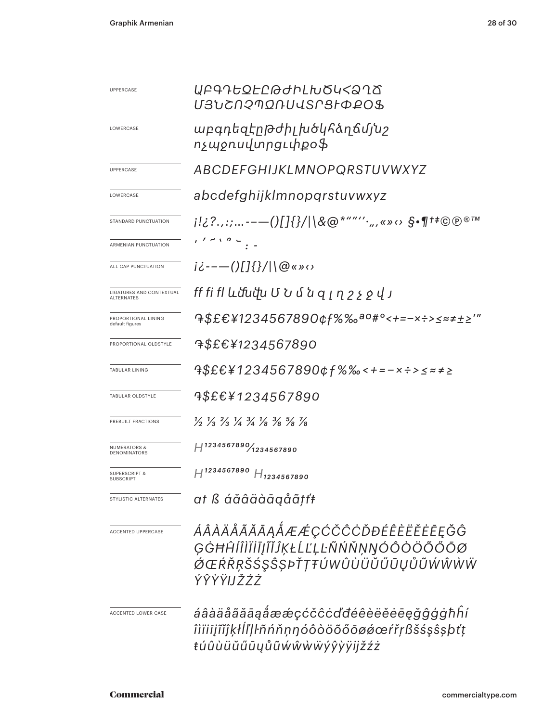| UPPERCASE                                      | <u>U3YCNSJONNASLSFOFOS</u>                                                                                                    |  |  |  |  |
|------------------------------------------------|-------------------------------------------------------------------------------------------------------------------------------|--|--|--|--|
| LOWERCASE                                      | աբգդեզէրթժիլ խծկհձղճմյնշ<br>ոչպջոսվտրցւփքօֆ                                                                                   |  |  |  |  |
| <b>UPPERCASE</b>                               | ABCDEFGHIJKLMNOPQRSTUVWXYZ                                                                                                    |  |  |  |  |
| LOWERCASE                                      | abcdefghijklmnopqrstuvwxyz                                                                                                    |  |  |  |  |
| STANDARD PUNCTUATION                           | $i!i$ ?.,:;---()[]{}/ \&@*""'',,,«» $\circ$ §•¶t‡©@®™                                                                         |  |  |  |  |
| ARMENIAN PUNCTUATION                           | $\frac{1}{1}$ $\frac{1}{1}$ $\frac{1}{1}$ $\frac{1}{1}$ $\frac{1}{1}$ $\frac{1}{1}$ $\frac{1}{1}$ $\frac{1}{1}$               |  |  |  |  |
| ALL CAP PUNCTUATION                            | $i\dot{\zeta}$ ---()[]{}/ \@«»<>                                                                                              |  |  |  |  |
| LIGATURES AND CONTEXTUAL<br><b>ALTERNATES</b>  | ff fi fl ևմնմխ Մ Ն մ ն զ լ դ շ չ ջ վ յ                                                                                        |  |  |  |  |
| PROPORTIONAL LINING<br>default figures         | 9\$£€¥1234567890¢f%‰ <sup>ao#</sup> °<+=-×÷>≤≈≠±≥′″                                                                           |  |  |  |  |
| PROPORTIONAL OLDSTYLE                          | <sup>7</sup> \$£€¥1234567890                                                                                                  |  |  |  |  |
| <b>TABULAR LINING</b>                          | $4$ \$£€¥1234567890¢f%‰<+=-×÷>≤≈≠≥                                                                                            |  |  |  |  |
| TABULAR OLDSTYLE                               | <sup>4\$£€¥1234567890</sup>                                                                                                   |  |  |  |  |
| PREBUILT FRACTIONS                             | $\frac{1}{2}$ $\frac{1}{3}$ $\frac{2}{3}$ $\frac{1}{4}$ $\frac{3}{4}$ $\frac{1}{8}$ $\frac{3}{8}$ $\frac{5}{8}$ $\frac{7}{8}$ |  |  |  |  |
| <b>NUMERATORS &amp;</b><br><b>DENOMINATORS</b> | $H^{1234567890}$ 1234567890                                                                                                   |  |  |  |  |
| <b>SUPERSCRIPT &amp;</b><br><b>SUBSCRIPT</b>   | $H^{1234567890}$<br>$H_{1234567890}$                                                                                          |  |  |  |  |
| STYLISTIC ALTERNATES                           | at ß áăâäàāąåãțťŧ                                                                                                             |  |  |  |  |
| <b>ACCENTED UPPERCASE</b>                      | ÁÂÀÄÅÃĂĀĄÅÆÆÇĆČĈĊĎĐÉÊÈËĔĒĘĞĜ<br>GĠĦĤĺÎÌÏĬĨĴĨĬĴĶŁĹĽĻĿÑŃŇŅŊÓÔÒÖÕŐŌØ<br>ØŒŔŘŖŠŚŞŜŞÞŤŢŦÚWÛÙÜŬŰŪŲŮŨŴŴŴŴ<br>ÝŶŶŸIJŽŹŻ               |  |  |  |  |
| ACCENTED LOWER CASE                            | áâàäåãããąåææçćčĉċďđéêèëĕēegǧĝģġħĥí<br>îìïiijĩĭĵķłĺľḷŀñńňṇŋóôòöõőōøǿœŕřṛßšśşŝṣþťṭ<br>ŧúûùüŭűūųůũẃŵẁẅýŷỳÿijžźż                  |  |  |  |  |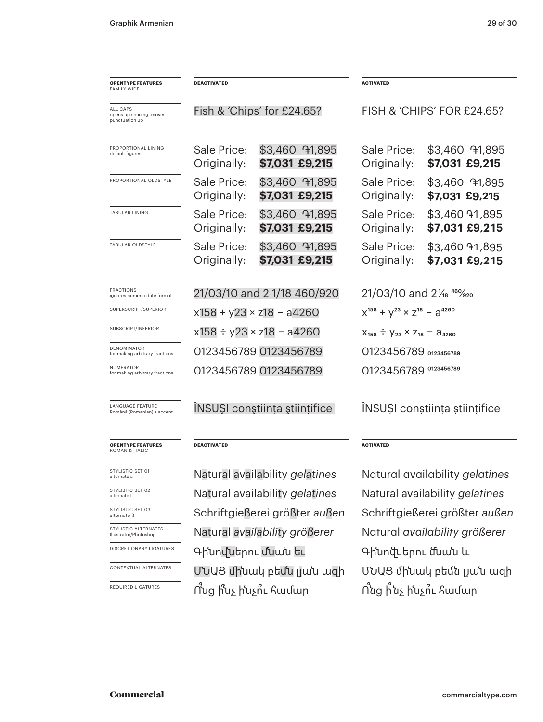| <b>OPENTYPE FEATURES</b>                              | <b>DEACTIVATED</b>                 |                                  |                                                 | <b>ACTIVATED</b>                 |  |
|-------------------------------------------------------|------------------------------------|----------------------------------|-------------------------------------------------|----------------------------------|--|
| <b>FAMILY WIDE</b>                                    |                                    |                                  |                                                 |                                  |  |
| ALL CAPS<br>opens up spacing, moves<br>punctuation up | Fish & 'Chips' for £24.65?         |                                  | FISH & 'CHIPS' FOR £24.65?                      |                                  |  |
| PROPORTIONAL LINING<br>default figures                | Sale Price:<br>Originally:         | \$3,460 71,895<br>\$7,031 £9,215 | Sale Price:<br>Originally:                      | \$3,460 91,895<br>\$7,031 £9,215 |  |
| PROPORTIONAL OLDSTYLE                                 | Sale Price:<br>Originally:         | \$3,460 91,895<br>\$7,031 £9,215 | Sale Price:<br>Originally:                      | \$3,460 71,895<br>\$7,031 £9,215 |  |
| <b>TABULAR LINING</b>                                 | Sale Price:<br>Originally:         | \$3,460 91,895<br>\$7,031 £9,215 | Sale Price:<br>Originally:                      | \$3,460 91,895<br>\$7,031 £9,215 |  |
| TABULAR OLDSTYLE                                      | Sale Price:<br>Originally:         | \$3,460 71,895<br>\$7,031 £9,215 | Sale Price:<br>Originally:                      | \$3,460 91,895<br>\$7,031 £9,215 |  |
| <b>FRACTIONS</b><br>ignores numeric date format       | 21/03/10 and 21/18 460/920         |                                  | 21/03/10 and 21/ <sub>8</sub> 46% <sub>20</sub> |                                  |  |
| SUPERSCRIPT/SUPERIOR                                  | $x158 + y23 \times z18 - a4260$    |                                  | $x^{158} + y^{23} \times z^{18} - a^{4260}$     |                                  |  |
| SUBSCRIPT/INFERIOR                                    | $x158 \div y23 \times z18 - a4260$ |                                  | $X_{158} \div Y_{23} \times Z_{18} - A_{4260}$  |                                  |  |
| <b>DENOMINATOR</b><br>for making arbitrary fractions  |                                    | 0123456789 0123456789            |                                                 | 0123456789 0123456789            |  |
| NUMERATOR<br>for making arbitrary fractions           | 0123456789 0123456789              |                                  | 0123456789 0123456789                           |                                  |  |
| LANGUAGE FEATURE<br>Română (Romanian) s accent        | INSUȘI conștiința științifice      |                                  | INSUȘI conștiința științifice                   |                                  |  |
| <b>OPENTYPE FEATURES</b><br><b>ROMAN &amp; ITALIC</b> | <b>DEACTIVATED</b>                 |                                  | <b>ACTIVATED</b>                                |                                  |  |
| STYLISTIC SET 01<br>alternate a                       | Natural availability gelatines     |                                  | Natural availability gelatines                  |                                  |  |
| STYLISTIC SET 02<br>alternate t                       | Natural availability gelatines     |                                  | Natural availability gelatines                  |                                  |  |
| STYLISTIC SET 03<br>alternate ß                       | Schriftgießerei größter außen      |                                  | Schriftgießerei größter außen                   |                                  |  |
| STYLISTIC ALTERNATES<br>Illustrator/Photoshop         | Natural availability größerer      |                                  | Natural availability größerer                   |                                  |  |
| <b>DISCRETIONARY LIGATURES</b>                        | Գինովներու մնան եւ                 |                                  | Գինովսերու մնան և                               |                                  |  |
| CONTEXTUAL ALTERNATES                                 | ՄՆԱՑ մինակ բեմն լյան ազի           |                                  | ՄՆԱՑ մինակ բեմն լյան ազի                        |                                  |  |
| <b>REQUIRED LIGATURES</b>                             | Ո՛սց ի՞նչ ի՛նչո՞ւ համար            |                                  | Ո՛նց ի՛նչ ի՛նչո՞ւ համար                         |                                  |  |
|                                                       |                                    |                                  |                                                 |                                  |  |
|                                                       |                                    |                                  |                                                 |                                  |  |

## Commercial commercialtype.com